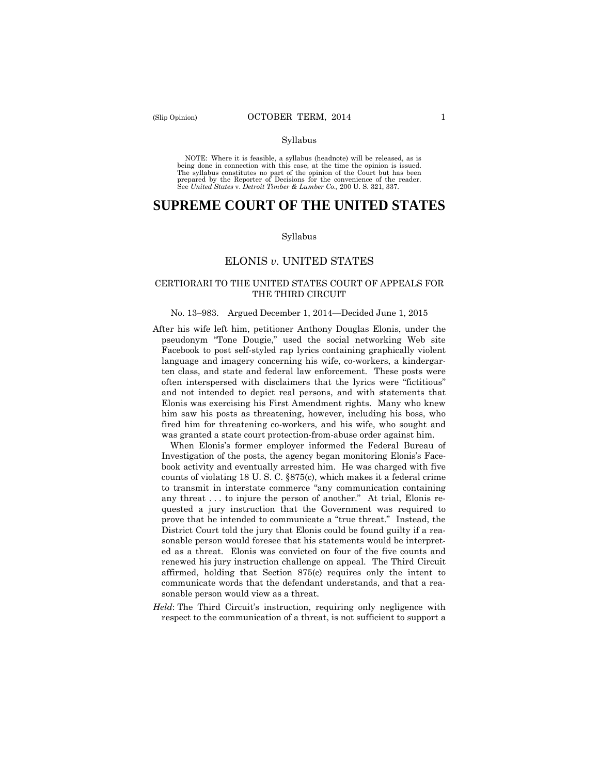#### Syllabus

 NOTE: Where it is feasible, a syllabus (headnote) will be released, as is being done in connection with this case, at the time the opinion is issued. The syllabus constitutes no part of the opinion of the Court but has been<br>prepared by the Reporter of Decisions for the convenience of the reader.<br>See United States v. Detroit Timber & Lumber Co., 200 U.S. 321, 337.

# **SUPREME COURT OF THE UNITED STATES**

#### Syllabus

## ELONIS *v*. UNITED STATES

## CERTIORARI TO THE UNITED STATES COURT OF APPEALS FOR THE THIRD CIRCUIT

#### No. 13–983. Argued December 1, 2014—Decided June 1, 2015

After his wife left him, petitioner Anthony Douglas Elonis, under the pseudonym "Tone Dougie," used the social networking Web site Facebook to post self-styled rap lyrics containing graphically violent language and imagery concerning his wife, co-workers, a kindergarten class, and state and federal law enforcement. These posts were often interspersed with disclaimers that the lyrics were "fictitious" and not intended to depict real persons, and with statements that Elonis was exercising his First Amendment rights. Many who knew him saw his posts as threatening, however, including his boss, who fired him for threatening co-workers, and his wife, who sought and was granted a state court protection-from-abuse order against him.

When Elonis's former employer informed the Federal Bureau of Investigation of the posts, the agency began monitoring Elonis's Facebook activity and eventually arrested him. He was charged with five counts of violating 18 U. S. C. §875(c), which makes it a federal crime to transmit in interstate commerce "any communication containing any threat . . . to injure the person of another." At trial, Elonis requested a jury instruction that the Government was required to prove that he intended to communicate a "true threat." Instead, the District Court told the jury that Elonis could be found guilty if a reasonable person would foresee that his statements would be interpreted as a threat. Elonis was convicted on four of the five counts and renewed his jury instruction challenge on appeal. The Third Circuit affirmed, holding that Section 875(c) requires only the intent to communicate words that the defendant understands, and that a reasonable person would view as a threat.

 respect to the communication of a threat, is not sufficient to support a *Held*: The Third Circuit's instruction, requiring only negligence with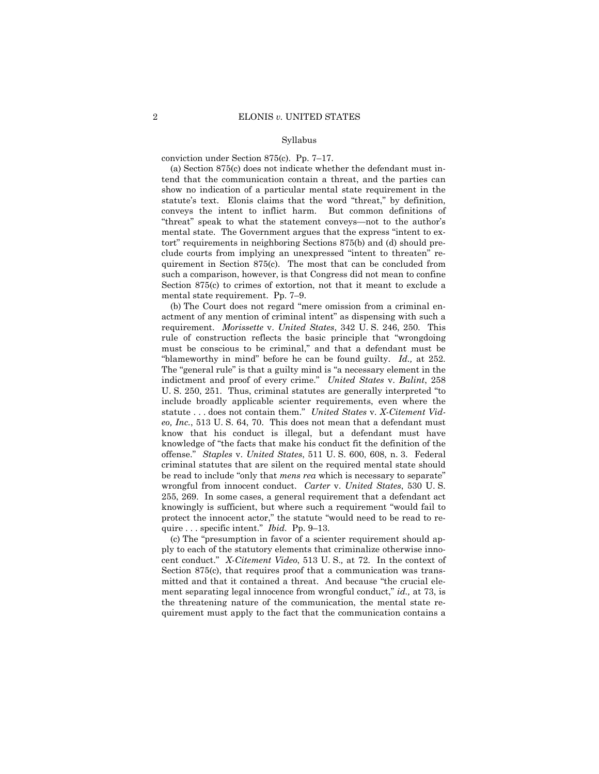#### Syllabus

conviction under Section 875(c). Pp. 7–17.

(a) Section 875(c) does not indicate whether the defendant must intend that the communication contain a threat, and the parties can show no indication of a particular mental state requirement in the statute's text. Elonis claims that the word "threat," by definition, conveys the intent to inflict harm. But common definitions of "threat" speak to what the statement conveys—not to the author's mental state. The Government argues that the express "intent to extort" requirements in neighboring Sections 875(b) and (d) should preclude courts from implying an unexpressed "intent to threaten" requirement in Section 875(c). The most that can be concluded from such a comparison, however, is that Congress did not mean to confine Section 875(c) to crimes of extortion, not that it meant to exclude a mental state requirement. Pp. 7–9.

 "blameworthy in mind" before he can be found guilty. *Id.,* at 252. (b) The Court does not regard "mere omission from a criminal enactment of any mention of criminal intent" as dispensing with such a requirement. *Morissette* v. *United States*, 342 U. S. 246, 250. This rule of construction reflects the basic principle that "wrongdoing must be conscious to be criminal," and that a defendant must be The "general rule" is that a guilty mind is "a necessary element in the indictment and proof of every crime." *United States* v. *Balint*, 258 U. S. 250, 251. Thus, criminal statutes are generally interpreted "to include broadly applicable scienter requirements, even where the statute . . . does not contain them." *United States* v. *X-Citement Video, Inc.*, 513 U. S. 64, 70. This does not mean that a defendant must know that his conduct is illegal, but a defendant must have knowledge of "the facts that make his conduct fit the definition of the offense." *Staples* v. *United States*, 511 U. S. 600, 608, n. 3. Federal criminal statutes that are silent on the required mental state should be read to include "only that *mens rea* which is necessary to separate" wrongful from innocent conduct. *Carter* v. *United States*, 530 U. S. 255, 269. In some cases, a general requirement that a defendant act knowingly is sufficient, but where such a requirement "would fail to protect the innocent actor," the statute "would need to be read to require . . . specific intent." *Ibid.* Pp. 9–13.

 cent conduct." *X-Citement Video*, 513 U. S.*,* at 72. In the context of (c) The "presumption in favor of a scienter requirement should apply to each of the statutory elements that criminalize otherwise inno-Section 875(c), that requires proof that a communication was transmitted and that it contained a threat. And because "the crucial element separating legal innocence from wrongful conduct," *id.,* at 73, is the threatening nature of the communication, the mental state requirement must apply to the fact that the communication contains a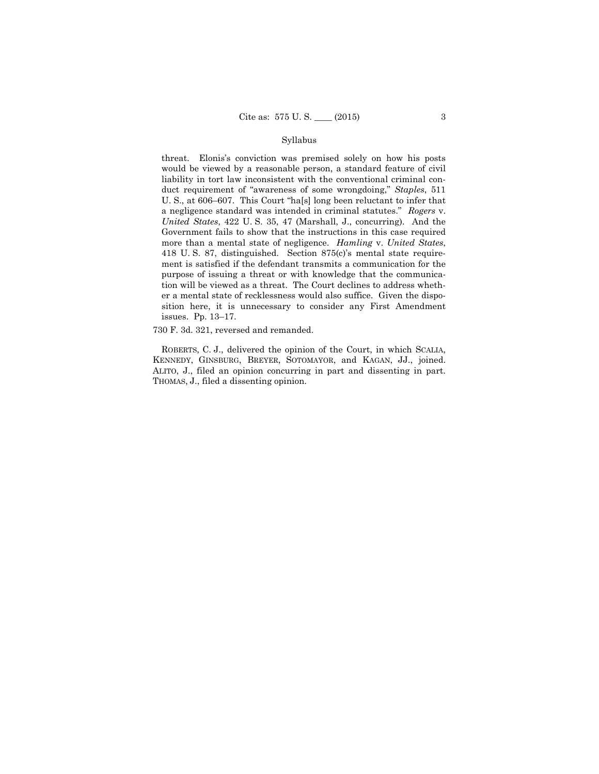## Syllabus

 er a mental state of recklessness would also suffice. Given the dispothreat. Elonis's conviction was premised solely on how his posts would be viewed by a reasonable person, a standard feature of civil liability in tort law inconsistent with the conventional criminal conduct requirement of "awareness of some wrongdoing," *Staples*, 511 U. S., at 606–607. This Court "ha[s] long been reluctant to infer that a negligence standard was intended in criminal statutes." *Rogers* v. *United States*, 422 U. S. 35, 47 (Marshall, J., concurring). And the Government fails to show that the instructions in this case required more than a mental state of negligence. *Hamling* v. *United States*, 418 U. S. 87, distinguished. Section 875(c)'s mental state requirement is satisfied if the defendant transmits a communication for the purpose of issuing a threat or with knowledge that the communication will be viewed as a threat. The Court declines to address whethsition here, it is unnecessary to consider any First Amendment issues. Pp. 13–17.

730 F. 3d. 321, reversed and remanded.

 KENNEDY, GINSBURG, BREYER, SOTOMAYOR, and KAGAN, JJ., joined. ALITO, J., filed an opinion concurring in part and dissenting in part. THOMAS, J., filed a dissenting opinion. ROBERTS, C. J., delivered the opinion of the Court, in which SCALIA,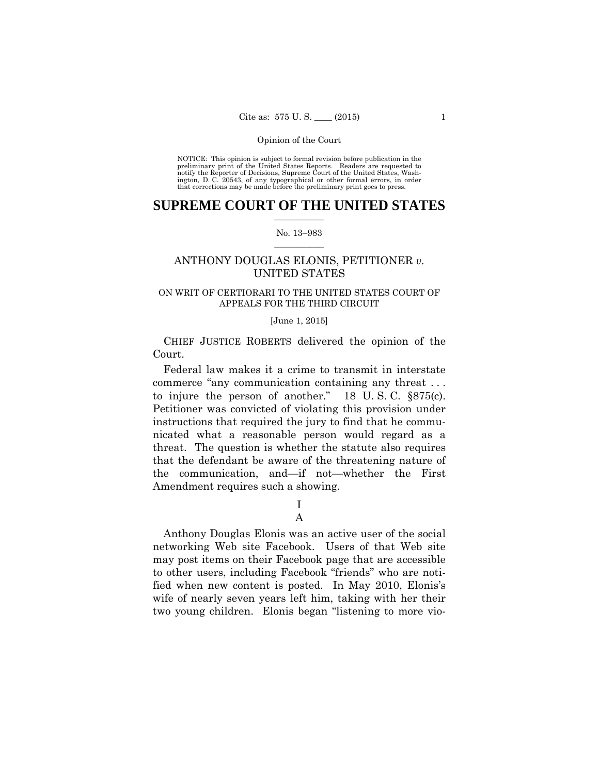preliminary print of the United States Reports. Readers are requested to notify the Reporter of Decisions, Supreme Court of the United States, Wash- ington, D. C. 20543, of any typographical or other formal errors, in order that corrections may be made before the preliminary print goes to press. NOTICE: This opinion is subject to formal revision before publication in the

## $\frac{1}{2}$  , where  $\frac{1}{2}$ **SUPREME COURT OF THE UNITED STATES**

## $\frac{1}{2}$  ,  $\frac{1}{2}$  ,  $\frac{1}{2}$  ,  $\frac{1}{2}$  ,  $\frac{1}{2}$  ,  $\frac{1}{2}$ No. 13–983

## ANTHONY DOUGLAS ELONIS, PETITIONER *v.* UNITED STATES

## ON WRIT OF CERTIORARI TO THE UNITED STATES COURT OF APPEALS FOR THE THIRD CIRCUIT

#### [June 1, 2015]

 CHIEF JUSTICE ROBERTS delivered the opinion of the Court.

 to injure the person of another." 18 U. S. C. §875(c). Federal law makes it a crime to transmit in interstate commerce "any communication containing any threat . . . Petitioner was convicted of violating this provision under instructions that required the jury to find that he communicated what a reasonable person would regard as a threat. The question is whether the statute also requires that the defendant be aware of the threatening nature of the communication, and—if not—whether the First Amendment requires such a showing.

## I A

Anthony Douglas Elonis was an active user of the social networking Web site Facebook. Users of that Web site may post items on their Facebook page that are accessible to other users, including Facebook "friends" who are notified when new content is posted. In May 2010, Elonis's wife of nearly seven years left him, taking with her their two young children. Elonis began "listening to more vio-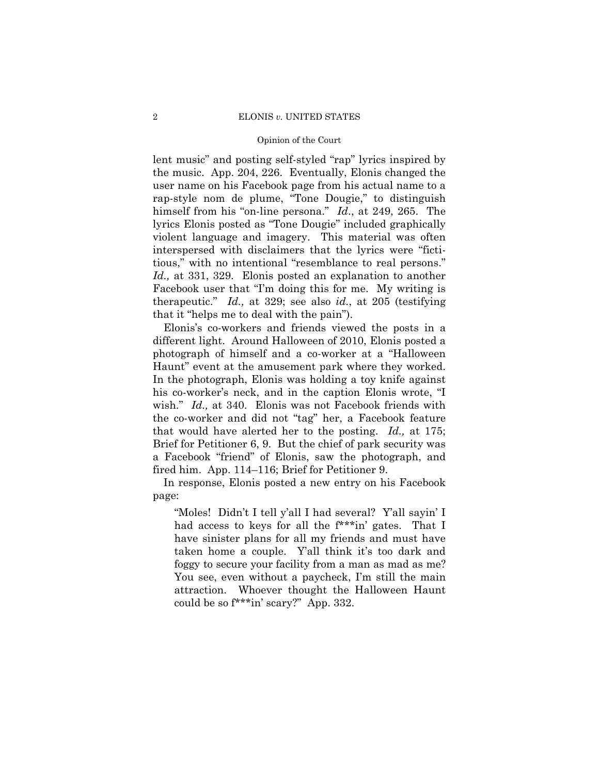## 2 ELONIS *v.* UNITED STATES

## Opinion of the Court

lent music" and posting self-styled "rap" lyrics inspired by the music. App. 204, 226. Eventually, Elonis changed the user name on his Facebook page from his actual name to a rap-style nom de plume, "Tone Dougie," to distinguish himself from his "on-line persona." *Id*., at 249, 265. The lyrics Elonis posted as "Tone Dougie" included graphically violent language and imagery. This material was often interspersed with disclaimers that the lyrics were "fictitious," with no intentional "resemblance to real persons." *Id.,* at 331, 329. Elonis posted an explanation to another Facebook user that "I'm doing this for me. My writing is therapeutic." *Id.,* at 329; see also *id.*, at 205 (testifying that it "helps me to deal with the pain").

Elonis's co-workers and friends viewed the posts in a different light. Around Halloween of 2010, Elonis posted a photograph of himself and a co-worker at a "Halloween Haunt" event at the amusement park where they worked. In the photograph, Elonis was holding a toy knife against his co-worker's neck, and in the caption Elonis wrote, "I wish." *Id.,* at 340. Elonis was not Facebook friends with the co-worker and did not "tag" her, a Facebook feature that would have alerted her to the posting. *Id.,* at 175; Brief for Petitioner 6, 9. But the chief of park security was a Facebook "friend" of Elonis, saw the photograph, and fired him. App. 114–116; Brief for Petitioner 9.

In response, Elonis posted a new entry on his Facebook page:

"Moles! Didn't I tell y'all I had several? Y'all sayin' I had access to keys for all the f\*\*\*in' gates. That I have sinister plans for all my friends and must have taken home a couple. Y'all think it's too dark and foggy to secure your facility from a man as mad as me? You see, even without a paycheck, I'm still the main attraction. Whoever thought the Halloween Haunt could be so f\*\*\*in' scary?" App. 332.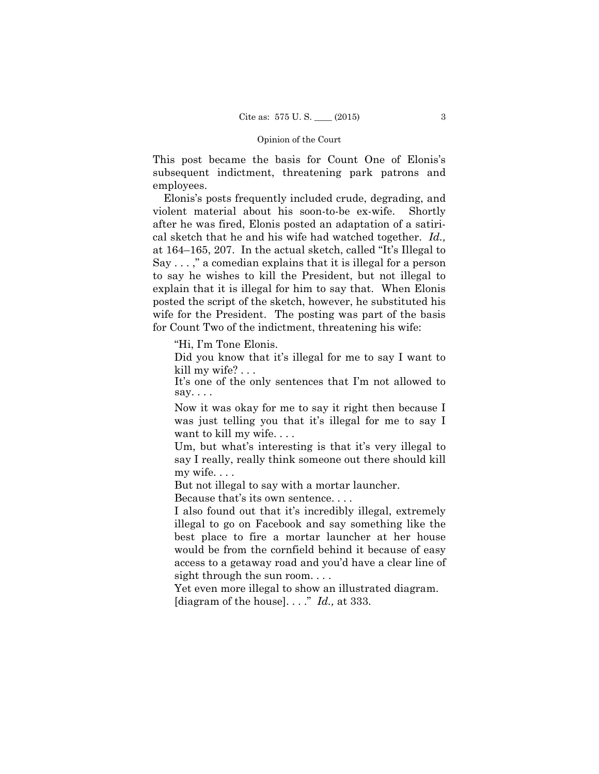This post became the basis for Count One of Elonis's subsequent indictment, threatening park patrons and employees.

Elonis's posts frequently included crude, degrading, and violent material about his soon-to-be ex-wife. Shortly after he was fired, Elonis posted an adaptation of a satirical sketch that he and his wife had watched together. *Id.,*  at 164–165, 207. In the actual sketch, called "It's Illegal to  $Say \dots$ ," a comedian explains that it is illegal for a person to say he wishes to kill the President, but not illegal to explain that it is illegal for him to say that. When Elonis posted the script of the sketch, however, he substituted his wife for the President. The posting was part of the basis for Count Two of the indictment, threatening his wife:

"Hi, I'm Tone Elonis.

Did you know that it's illegal for me to say I want to kill my wife? . . .

It's one of the only sentences that I'm not allowed to say. . . .

Now it was okay for me to say it right then because I was just telling you that it's illegal for me to say I want to kill my wife. . . .

Um, but what's interesting is that it's very illegal to say I really, really think someone out there should kill my wife. . . .

But not illegal to say with a mortar launcher.

Because that's its own sentence. . . .

I also found out that it's incredibly illegal, extremely illegal to go on Facebook and say something like the best place to fire a mortar launcher at her house would be from the cornfield behind it because of easy access to a getaway road and you'd have a clear line of sight through the sun room...

Yet even more illegal to show an illustrated diagram. [diagram of the house]. . . ." *Id.,* at 333.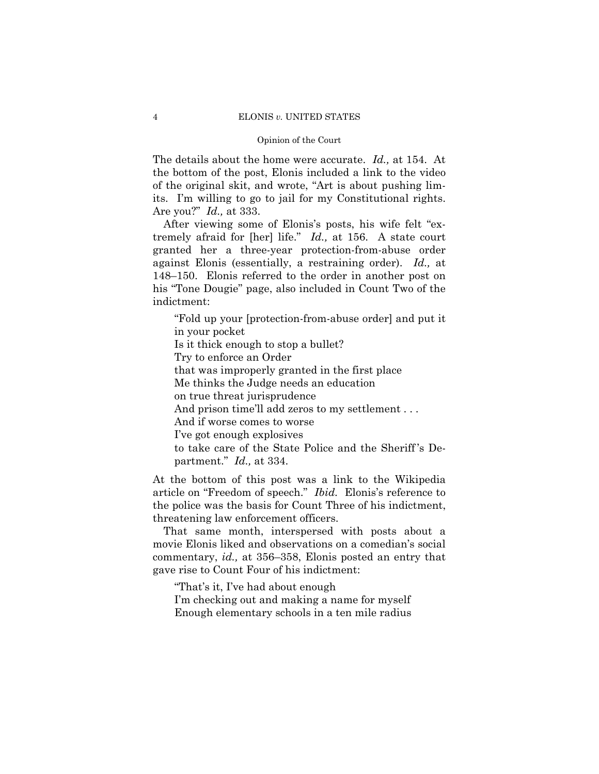## 4 ELONIS *v.* UNITED STATES

## Opinion of the Court

The details about the home were accurate. *Id.,* at 154. At the bottom of the post, Elonis included a link to the video of the original skit, and wrote, "Art is about pushing limits. I'm willing to go to jail for my Constitutional rights. Are you?" *Id.,* at 333.

After viewing some of Elonis's posts, his wife felt "extremely afraid for [her] life." *Id.,* at 156. A state court granted her a three-year protection-from-abuse order against Elonis (essentially, a restraining order). *Id.,* at 148–150. Elonis referred to the order in another post on his "Tone Dougie" page, also included in Count Two of the indictment:

"Fold up your [protection-from-abuse order] and put it in your pocket Is it thick enough to stop a bullet? Try to enforce an Order that was improperly granted in the first place Me thinks the Judge needs an education on true threat jurisprudence And prison time'll add zeros to my settlement . . . And if worse comes to worse I've got enough explosives to take care of the State Police and the Sheriff 's Department." *Id.,* at 334.

At the bottom of this post was a link to the Wikipedia article on "Freedom of speech." *Ibid.* Elonis's reference to the police was the basis for Count Three of his indictment, threatening law enforcement officers.

That same month, interspersed with posts about a movie Elonis liked and observations on a comedian's social commentary, *id.,* at 356–358, Elonis posted an entry that gave rise to Count Four of his indictment:

"That's it, I've had about enough

I'm checking out and making a name for myself Enough elementary schools in a ten mile radius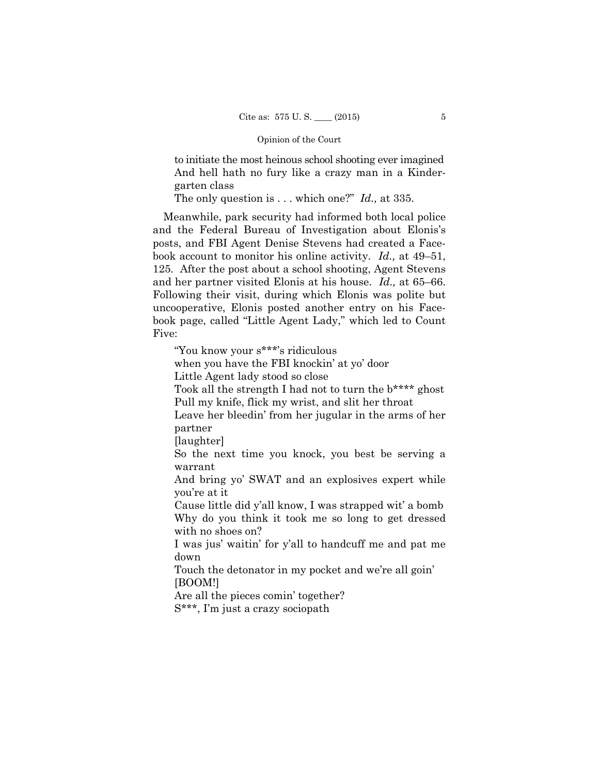to initiate the most heinous school shooting ever imagined And hell hath no fury like a crazy man in a Kindergarten class

The only question is . . . which one?" *Id.,* at 335.

and her partner visited Elonis at his house. Id., at 65–66. Meanwhile, park security had informed both local police and the Federal Bureau of Investigation about Elonis's posts, and FBI Agent Denise Stevens had created a Facebook account to monitor his online activity. *Id.,* at 49–51, 125*.* After the post about a school shooting, Agent Stevens Following their visit, during which Elonis was polite but uncooperative, Elonis posted another entry on his Facebook page, called "Little Agent Lady," which led to Count Five:

"You know your s\*\*\*'s ridiculous

when you have the FBI knockin' at yo' door

Little Agent lady stood so close

Took all the strength I had not to turn the b\*\*\*\* ghost Pull my knife, flick my wrist, and slit her throat

Leave her bleedin' from her jugular in the arms of her partner

[laughter]

So the next time you knock, you best be serving a warrant

And bring yo' SWAT and an explosives expert while you're at it

Cause little did y'all know, I was strapped wit' a bomb Why do you think it took me so long to get dressed with no shoes on?

I was jus' waitin' for y'all to handcuff me and pat me down

Touch the detonator in my pocket and we're all goin' [BOOM!]

Are all the pieces comin' together?

S\*\*\*, I'm just a crazy sociopath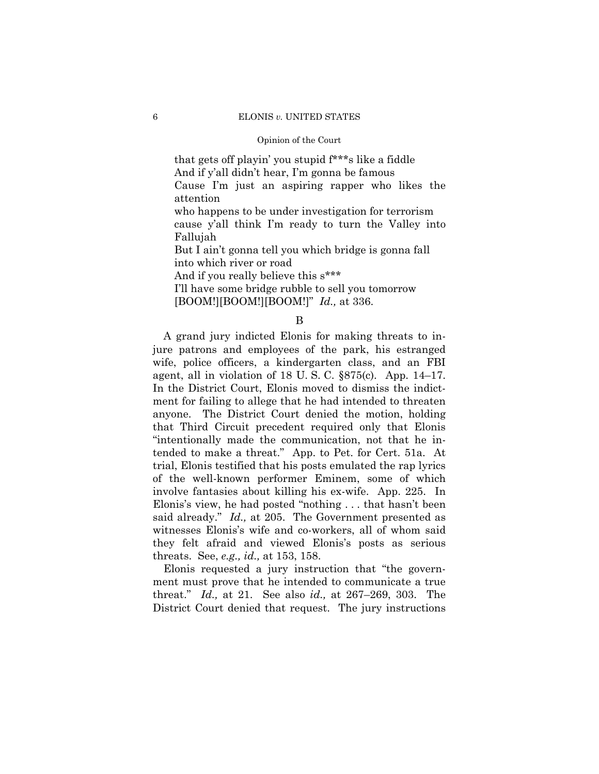## 6 ELONIS *v.* UNITED STATES

## Opinion of the Court

that gets off playin' you stupid f\*\*\*s like a fiddle And if y'all didn't hear, I'm gonna be famous Cause I'm just an aspiring rapper who likes the attention who happens to be under investigation for terrorism cause y'all think I'm ready to turn the Valley into Fallujah But I ain't gonna tell you which bridge is gonna fall into which river or road And if you really believe this s\*\*\*

I'll have some bridge rubble to sell you tomorrow [BOOM!][BOOM!][BOOM!]" *Id.,* at 336.

## B

A grand jury indicted Elonis for making threats to injure patrons and employees of the park, his estranged wife, police officers, a kindergarten class, and an FBI agent, all in violation of 18 U. S. C. §875(c). App. 14–17. In the District Court, Elonis moved to dismiss the indictment for failing to allege that he had intended to threaten anyone. The District Court denied the motion, holding that Third Circuit precedent required only that Elonis "intentionally made the communication, not that he intended to make a threat." App. to Pet. for Cert. 51a. At trial, Elonis testified that his posts emulated the rap lyrics of the well-known performer Eminem, some of which involve fantasies about killing his ex-wife. App. 225. In Elonis's view, he had posted "nothing . . . that hasn't been said already." *Id.,* at 205. The Government presented as witnesses Elonis's wife and co-workers, all of whom said they felt afraid and viewed Elonis's posts as serious threats. See, *e.g., id.,* at 153, 158.

Elonis requested a jury instruction that "the government must prove that he intended to communicate a true threat." *Id.,* at 21. See also *id.,* at 267–269, 303. The District Court denied that request. The jury instructions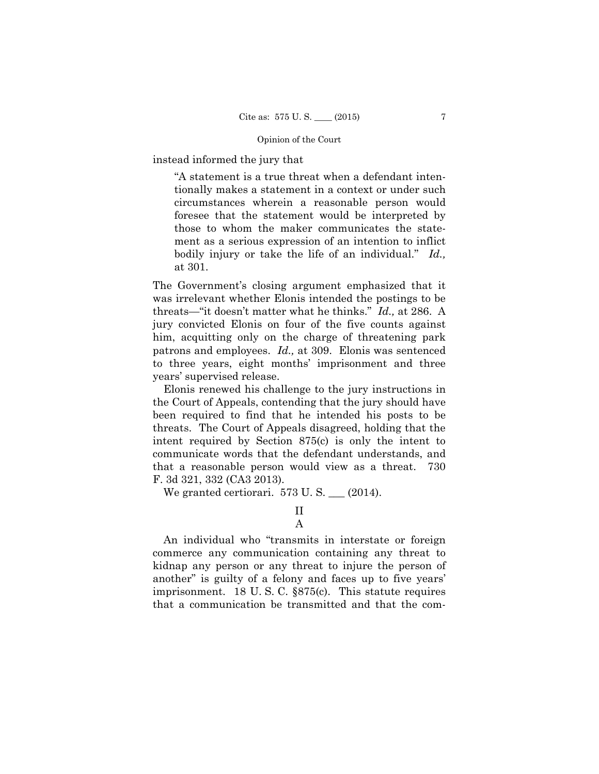instead informed the jury that

"A statement is a true threat when a defendant intentionally makes a statement in a context or under such circumstances wherein a reasonable person would foresee that the statement would be interpreted by those to whom the maker communicates the statement as a serious expression of an intention to inflict bodily injury or take the life of an individual." *Id.,*  at 301.

The Government's closing argument emphasized that it was irrelevant whether Elonis intended the postings to be threats—"it doesn't matter what he thinks." *Id.,* at 286. A jury convicted Elonis on four of the five counts against him, acquitting only on the charge of threatening park patrons and employees. *Id.,* at 309. Elonis was sentenced to three years, eight months' imprisonment and three years' supervised release.

Elonis renewed his challenge to the jury instructions in the Court of Appeals, contending that the jury should have been required to find that he intended his posts to be threats. The Court of Appeals disagreed, holding that the intent required by Section 875(c) is only the intent to communicate words that the defendant understands, and that a reasonable person would view as a threat. 730 F. 3d 321, 332 (CA3 2013).

We granted certiorari.  $573 \text{ U}$ . S.  $\_\_$  (2014).

II A

An individual who "transmits in interstate or foreign commerce any communication containing any threat to kidnap any person or any threat to injure the person of another" is guilty of a felony and faces up to five years' imprisonment. 18 U. S. C. §875(c). This statute requires that a communication be transmitted and that the com-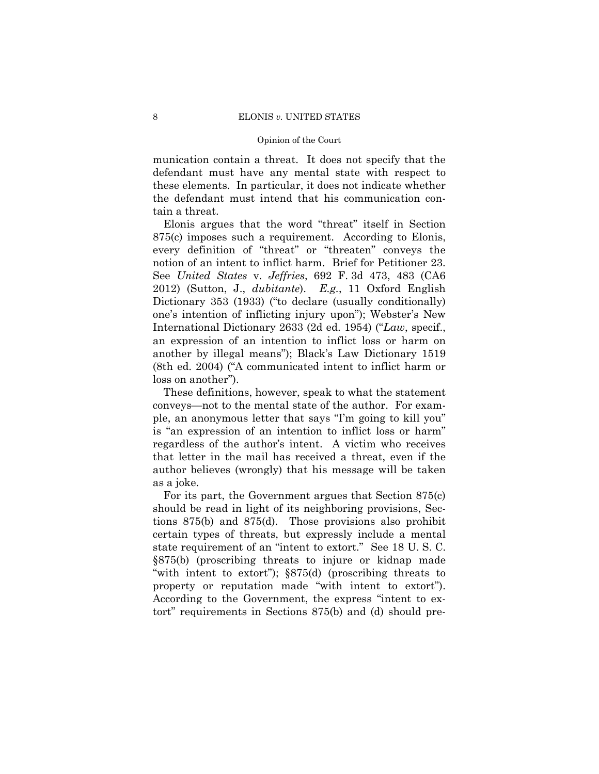munication contain a threat. It does not specify that the defendant must have any mental state with respect to these elements. In particular, it does not indicate whether the defendant must intend that his communication contain a threat.

Elonis argues that the word "threat" itself in Section 875(c) imposes such a requirement. According to Elonis, every definition of "threat" or "threaten" conveys the notion of an intent to inflict harm. Brief for Petitioner 23. See *United States* v. *Jeffries*, 692 F. 3d 473, 483 (CA6 2012) (Sutton, J., *dubitante*). *E.g.*, 11 Oxford English Dictionary 353 (1933) ("to declare (usually conditionally) one's intention of inflicting injury upon"); Webster's New International Dictionary 2633 (2d ed. 1954) ("*Law*, specif., an expression of an intention to inflict loss or harm on another by illegal means"); Black's Law Dictionary 1519 (8th ed. 2004) ("A communicated intent to inflict harm or loss on another").

These definitions, however, speak to what the statement conveys—not to the mental state of the author. For example, an anonymous letter that says "I'm going to kill you" is "an expression of an intention to inflict loss or harm" regardless of the author's intent. A victim who receives that letter in the mail has received a threat, even if the author believes (wrongly) that his message will be taken as a joke.

For its part, the Government argues that Section 875(c) should be read in light of its neighboring provisions, Sections 875(b) and 875(d). Those provisions also prohibit certain types of threats, but expressly include a mental state requirement of an "intent to extort." See 18 U. S. C. §875(b) (proscribing threats to injure or kidnap made "with intent to extort"); §875(d) (proscribing threats to property or reputation made "with intent to extort"). According to the Government, the express "intent to extort" requirements in Sections 875(b) and (d) should pre-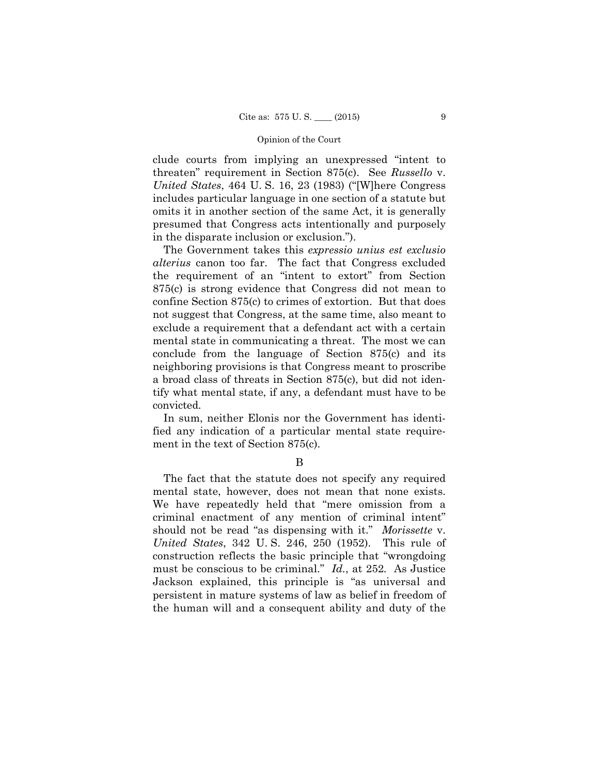clude courts from implying an unexpressed "intent to threaten" requirement in Section 875(c). See *Russello* v. *United States*, 464 U. S. 16, 23 (1983) ("[W]here Congress includes particular language in one section of a statute but omits it in another section of the same Act, it is generally presumed that Congress acts intentionally and purposely in the disparate inclusion or exclusion.").

 875(c) is strong evidence that Congress did not mean to The Government takes this *expressio unius est exclusio alterius* canon too far. The fact that Congress excluded the requirement of an "intent to extort" from Section confine Section 875(c) to crimes of extortion. But that does not suggest that Congress, at the same time, also meant to exclude a requirement that a defendant act with a certain mental state in communicating a threat. The most we can conclude from the language of Section 875(c) and its neighboring provisions is that Congress meant to proscribe a broad class of threats in Section 875(c), but did not identify what mental state, if any, a defendant must have to be convicted.

In sum, neither Elonis nor the Government has identified any indication of a particular mental state requirement in the text of Section 875(c).

B

The fact that the statute does not specify any required mental state, however, does not mean that none exists. We have repeatedly held that "mere omission from a criminal enactment of any mention of criminal intent" should not be read "as dispensing with it." *Morissette* v. *United States*, 342 U. S. 246, 250 (1952). This rule of construction reflects the basic principle that "wrongdoing must be conscious to be criminal." *Id.*, at 252*.* As Justice Jackson explained, this principle is "as universal and persistent in mature systems of law as belief in freedom of the human will and a consequent ability and duty of the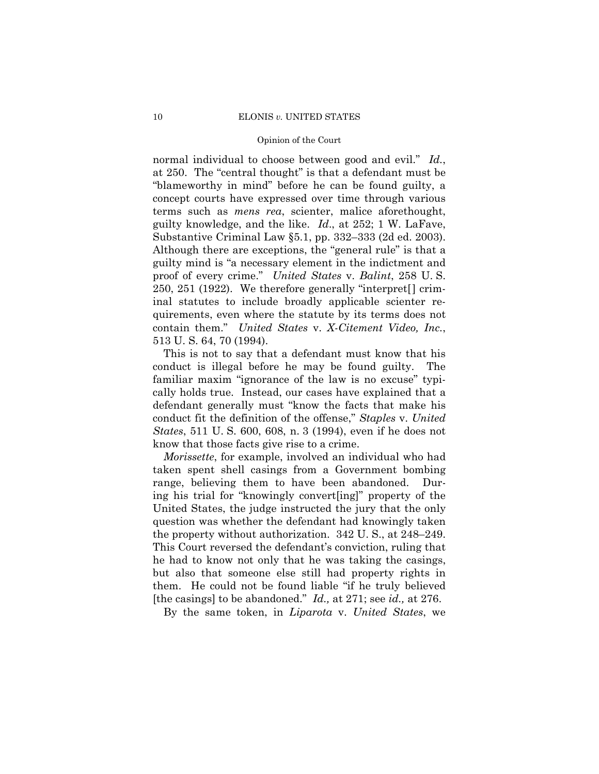### 10 ELONIS *v.* UNITED STATES

## Opinion of the Court

normal individual to choose between good and evil." *Id.*, at 250. The "central thought" is that a defendant must be "blameworthy in mind" before he can be found guilty, a concept courts have expressed over time through various terms such as *mens rea*, scienter, malice aforethought, guilty knowledge, and the like. *Id*., at 252; 1 W. LaFave, Substantive Criminal Law §5.1, pp. 332–333 (2d ed. 2003). Although there are exceptions, the "general rule" is that a guilty mind is "a necessary element in the indictment and proof of every crime." *United States* v. *Balint*, 258 U. S. 250, 251 (1922). We therefore generally "interpret[] criminal statutes to include broadly applicable scienter requirements, even where the statute by its terms does not contain them." *United States* v. *X-Citement Video, Inc.*, 513 U. S. 64, 70 (1994).

This is not to say that a defendant must know that his conduct is illegal before he may be found guilty. The familiar maxim "ignorance of the law is no excuse" typically holds true. Instead, our cases have explained that a defendant generally must "know the facts that make his conduct fit the definition of the offense," *Staples* v. *United States*, 511 U. S. 600, 608, n. 3 (1994), even if he does not know that those facts give rise to a crime.

*Morissette*, for example, involved an individual who had taken spent shell casings from a Government bombing range, believing them to have been abandoned. During his trial for "knowingly convert[ing]" property of the United States, the judge instructed the jury that the only question was whether the defendant had knowingly taken the property without authorization. 342 U. S., at 248–249. This Court reversed the defendant's conviction, ruling that he had to know not only that he was taking the casings, but also that someone else still had property rights in them. He could not be found liable "if he truly believed [the casings] to be abandoned." *Id.,* at 271; see *id.,* at 276.

By the same token, in *Liparota* v. *United States*, we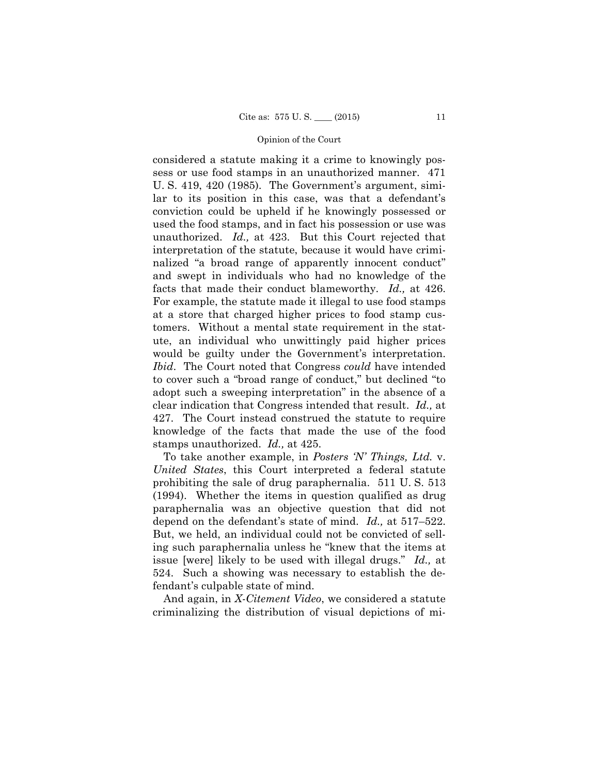facts that made their conduct blameworthy. *Id.,* at 426. considered a statute making it a crime to knowingly possess or use food stamps in an unauthorized manner. 471 U. S. 419, 420 (1985). The Government's argument, similar to its position in this case, was that a defendant's conviction could be upheld if he knowingly possessed or used the food stamps, and in fact his possession or use was unauthorized. *Id.,* at 423. But this Court rejected that interpretation of the statute, because it would have criminalized "a broad range of apparently innocent conduct" and swept in individuals who had no knowledge of the For example, the statute made it illegal to use food stamps at a store that charged higher prices to food stamp customers. Without a mental state requirement in the statute, an individual who unwittingly paid higher prices would be guilty under the Government's interpretation. *Ibid*. The Court noted that Congress *could* have intended to cover such a "broad range of conduct," but declined "to adopt such a sweeping interpretation" in the absence of a clear indication that Congress intended that result. *Id.,* at 427. The Court instead construed the statute to require knowledge of the facts that made the use of the food stamps unauthorized. *Id.,* at 425.

To take another example, in *Posters 'N' Things, Ltd.* v. *United States*, this Court interpreted a federal statute prohibiting the sale of drug paraphernalia. 511 U. S. 513 (1994). Whether the items in question qualified as drug paraphernalia was an objective question that did not depend on the defendant's state of mind. *Id.,* at 517–522. But, we held, an individual could not be convicted of selling such paraphernalia unless he "knew that the items at issue [were] likely to be used with illegal drugs." *Id.,* at 524. Such a showing was necessary to establish the defendant's culpable state of mind.

And again, in *X-Citement Video*, we considered a statute criminalizing the distribution of visual depictions of mi-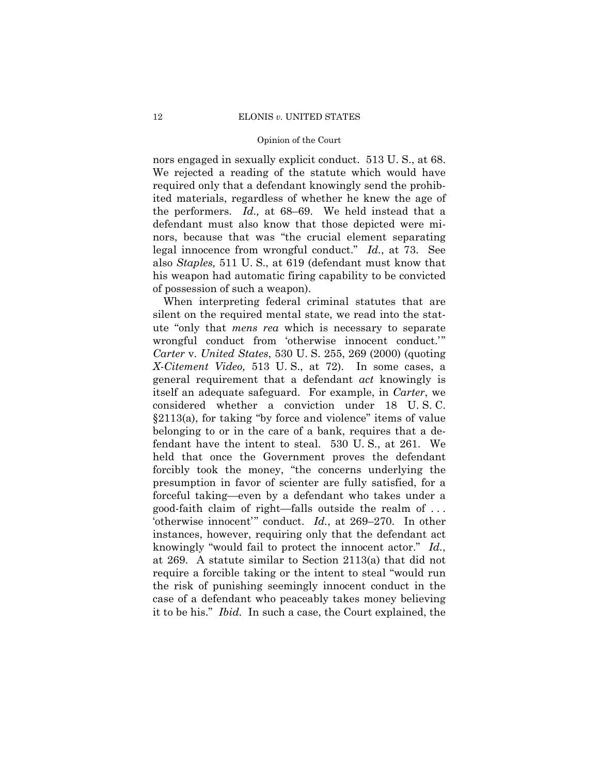nors engaged in sexually explicit conduct. 513 U. S., at 68. We rejected a reading of the statute which would have required only that a defendant knowingly send the prohibited materials, regardless of whether he knew the age of the performers. *Id.,* at 68–69. We held instead that a defendant must also know that those depicted were minors, because that was "the crucial element separating legal innocence from wrongful conduct." *Id.*, at 73. See also *Staples,* 511 U. S., at 619 (defendant must know that his weapon had automatic firing capability to be convicted of possession of such a weapon).

 good-faith claim of right—falls outside the realm of . . . it to be his." *Ibid.* In such a case, the Court explained, the When interpreting federal criminal statutes that are silent on the required mental state, we read into the statute "only that *mens rea* which is necessary to separate wrongful conduct from 'otherwise innocent conduct.'" *Carter* v. *United States*, 530 U. S. 255, 269 (2000) (quoting *X-Citement Video,* 513 U. S., at 72). In some cases, a general requirement that a defendant *act* knowingly is itself an adequate safeguard. For example, in *Carter*, we considered whether a conviction under 18 U. S. C. §2113(a), for taking "by force and violence" items of value belonging to or in the care of a bank, requires that a defendant have the intent to steal. 530 U. S., at 261. We held that once the Government proves the defendant forcibly took the money, "the concerns underlying the presumption in favor of scienter are fully satisfied, for a forceful taking—even by a defendant who takes under a 'otherwise innocent'" conduct. *Id.*, at 269–270. In other instances, however, requiring only that the defendant act knowingly "would fail to protect the innocent actor." *Id.*, at 269. A statute similar to Section 2113(a) that did not require a forcible taking or the intent to steal "would run the risk of punishing seemingly innocent conduct in the case of a defendant who peaceably takes money believing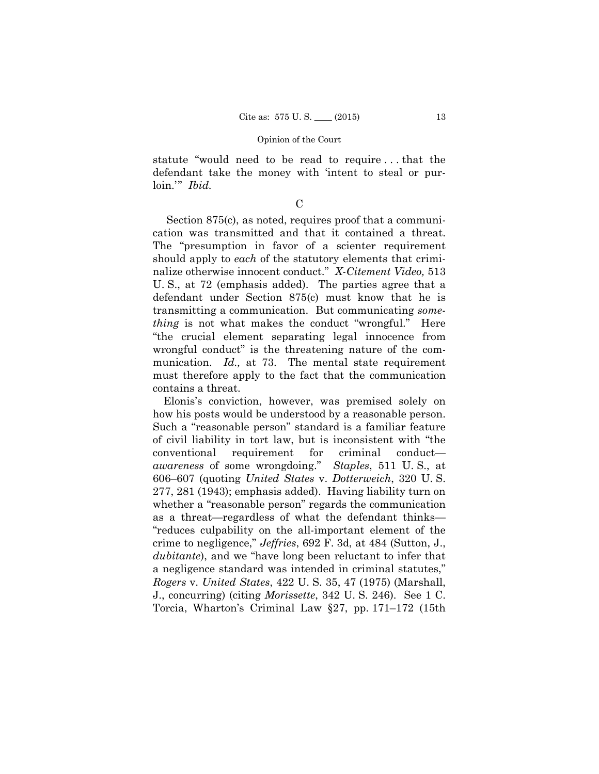statute "would need to be read to require . . . that the defendant take the money with 'intent to steal or purloin.'" *Ibid.* 

C

Section 875(c), as noted, requires proof that a communication was transmitted and that it contained a threat. The "presumption in favor of a scienter requirement should apply to *each* of the statutory elements that criminalize otherwise innocent conduct." *X-Citement Video,* 513 U. S., at 72 (emphasis added). The parties agree that a defendant under Section 875(c) must know that he is transmitting a communication. But communicating *something* is not what makes the conduct "wrongful." Here "the crucial element separating legal innocence from wrongful conduct" is the threatening nature of the communication. *Id.,* at 73. The mental state requirement must therefore apply to the fact that the communication contains a threat.

Elonis's conviction, however, was premised solely on how his posts would be understood by a reasonable person. Such a "reasonable person" standard is a familiar feature of civil liability in tort law, but is inconsistent with "the conventional requirement for criminal conduct *awareness* of some wrongdoing." *Staples*, 511 U. S., at 606–607 (quoting *United States* v. *Dotterweich*, 320 U. S. 277, 281 (1943); emphasis added). Having liability turn on whether a "reasonable person" regards the communication as a threat—regardless of what the defendant thinks— "reduces culpability on the all-important element of the crime to negligence," *Jeffries*, 692 F. 3d, at 484 (Sutton, J., *dubitante*), and we "have long been reluctant to infer that a negligence standard was intended in criminal statutes," *Rogers* v. *United States*, 422 U. S. 35, 47 (1975) (Marshall, J., concurring) (citing *Morissette*, 342 U. S. 246). See 1 C. Torcia, Wharton's Criminal Law §27, pp. 171–172 (15th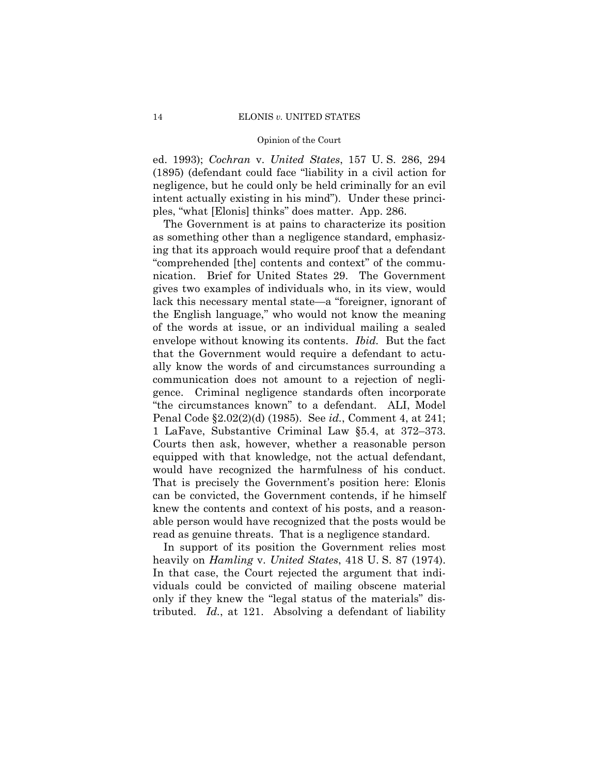ed. 1993); *Cochran* v. *United States*, 157 U. S. 286, 294 (1895) (defendant could face "liability in a civil action for negligence, but he could only be held criminally for an evil intent actually existing in his mind"). Under these principles, "what [Elonis] thinks" does matter. App. 286.

The Government is at pains to characterize its position as something other than a negligence standard, emphasizing that its approach would require proof that a defendant "comprehended [the] contents and context" of the communication. Brief for United States 29. The Government gives two examples of individuals who, in its view, would lack this necessary mental state—a "foreigner, ignorant of the English language," who would not know the meaning of the words at issue, or an individual mailing a sealed envelope without knowing its contents. *Ibid.* But the fact that the Government would require a defendant to actually know the words of and circumstances surrounding a communication does not amount to a rejection of negligence. Criminal negligence standards often incorporate "the circumstances known" to a defendant. ALI, Model Penal Code §2.02(2)(d) (1985). See *id.*, Comment 4, at 241; 1 LaFave, Substantive Criminal Law §5.4, at 372–373. Courts then ask, however, whether a reasonable person equipped with that knowledge, not the actual defendant, would have recognized the harmfulness of his conduct. That is precisely the Government's position here: Elonis can be convicted, the Government contends, if he himself knew the contents and context of his posts, and a reasonable person would have recognized that the posts would be read as genuine threats. That is a negligence standard.

 heavily on *Hamling* v. *United States*, 418 U. S. 87 (1974). In support of its position the Government relies most In that case, the Court rejected the argument that individuals could be convicted of mailing obscene material only if they knew the "legal status of the materials" distributed. *Id.*, at 121. Absolving a defendant of liability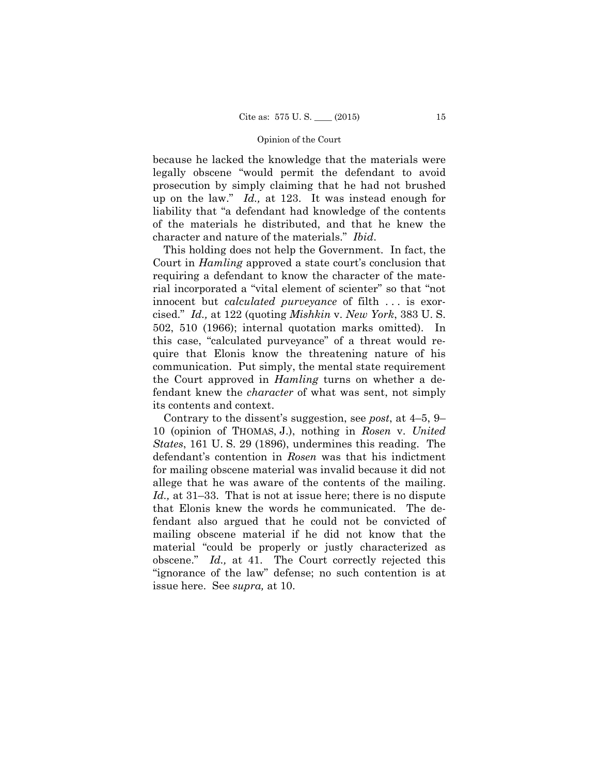because he lacked the knowledge that the materials were legally obscene "would permit the defendant to avoid prosecution by simply claiming that he had not brushed up on the law." *Id.,* at 123. It was instead enough for liability that "a defendant had knowledge of the contents of the materials he distributed, and that he knew the character and nature of the materials." *Ibid*.

This holding does not help the Government. In fact, the Court in *Hamling* approved a state court's conclusion that requiring a defendant to know the character of the material incorporated a "vital element of scienter" so that "not innocent but *calculated purveyance* of filth . . . is exorcised." *Id.,* at 122 (quoting *Mishkin* v. *New York*, 383 U. S. 502, 510 (1966); internal quotation marks omitted). In this case, "calculated purveyance" of a threat would require that Elonis know the threatening nature of his communication. Put simply, the mental state requirement the Court approved in *Hamling* turns on whether a defendant knew the *character* of what was sent, not simply its contents and context.

Contrary to the dissent's suggestion, see *post*, at 4–5, 9– 10 (opinion of THOMAS, J.), nothing in *Rosen* v. *United States*, 161 U. S. 29 (1896), undermines this reading. The defendant's contention in *Rosen* was that his indictment for mailing obscene material was invalid because it did not allege that he was aware of the contents of the mailing. *Id.,* at 31–33. That is not at issue here; there is no dispute that Elonis knew the words he communicated. The defendant also argued that he could not be convicted of mailing obscene material if he did not know that the material "could be properly or justly characterized as obscene." *Id.,* at 41. The Court correctly rejected this "ignorance of the law" defense; no such contention is at issue here. See *supra,* at 10.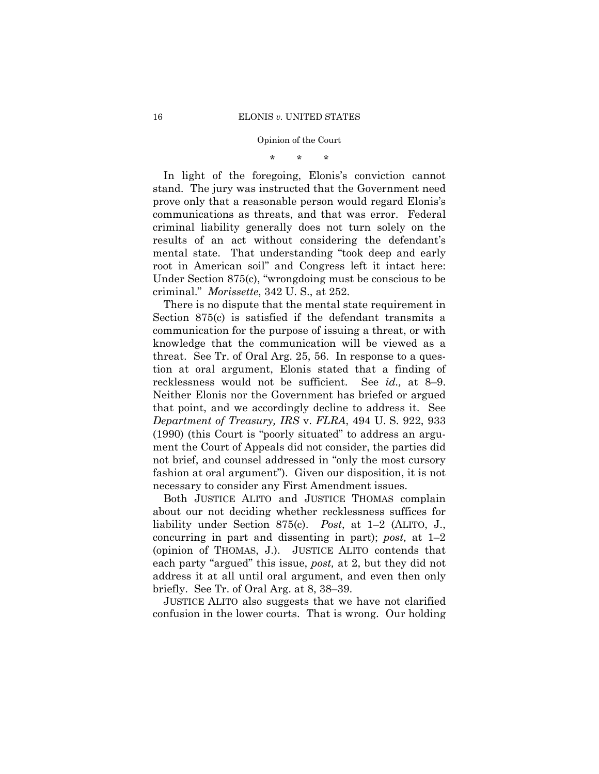\* \* \*

In light of the foregoing, Elonis's conviction cannot stand. The jury was instructed that the Government need prove only that a reasonable person would regard Elonis's communications as threats, and that was error. Federal criminal liability generally does not turn solely on the results of an act without considering the defendant's mental state. That understanding "took deep and early root in American soil" and Congress left it intact here: Under Section 875(c), "wrongdoing must be conscious to be criminal." *Morissette*, 342 U. S., at 252.

 recklessness would not be sufficient. See *id.,* at 8–9. Neither Elonis nor the Government has briefed or argued There is no dispute that the mental state requirement in Section 875(c) is satisfied if the defendant transmits a communication for the purpose of issuing a threat, or with knowledge that the communication will be viewed as a threat. See Tr. of Oral Arg. 25, 56. In response to a question at oral argument, Elonis stated that a finding of that point, and we accordingly decline to address it. See *Department of Treasury, IRS* v. *FLRA*, 494 U. S. 922, 933 (1990) (this Court is "poorly situated" to address an argument the Court of Appeals did not consider, the parties did not brief, and counsel addressed in "only the most cursory fashion at oral argument"). Given our disposition, it is not necessary to consider any First Amendment issues.

 Both JUSTICE ALITO and JUSTICE THOMAS complain about our not deciding whether recklessness suffices for liability under Section 875(c). *Post*, at 1–2 (ALITO, J., concurring in part and dissenting in part); *post,* at 1–2 (opinion of THOMAS, J.). JUSTICE ALITO contends that each party "argued" this issue, *post,* at 2, but they did not address it at all until oral argument, and even then only briefly. See Tr. of Oral Arg. at 8, 38–39.

JUSTICE ALITO also suggests that we have not clarified confusion in the lower courts. That is wrong. Our holding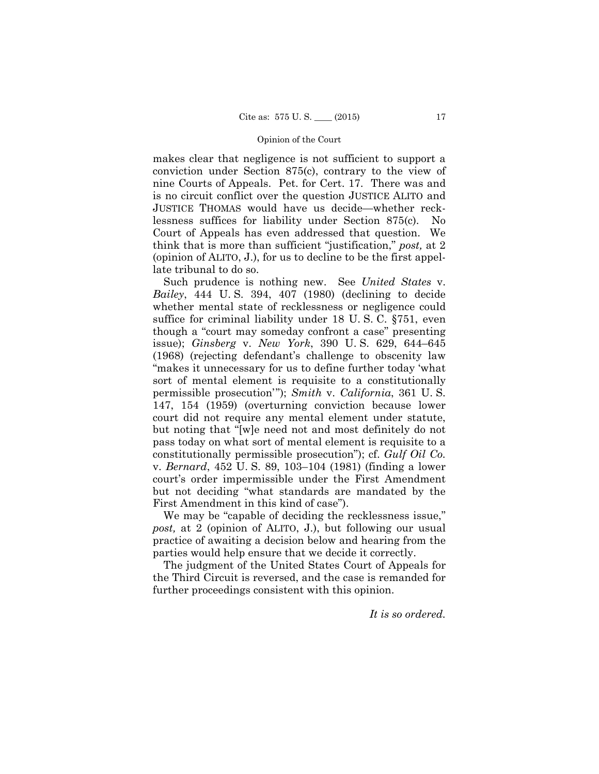makes clear that negligence is not sufficient to support a conviction under Section 875(c), contrary to the view of nine Courts of Appeals. Pet. for Cert. 17. There was and is no circuit conflict over the question JUSTICE ALITO and JUSTICE THOMAS would have us decide—whether recklessness suffices for liability under Section 875(c). No Court of Appeals has even addressed that question. We think that is more than sufficient "justification," *post,* at 2 (opinion of ALITO, J.), for us to decline to be the first appellate tribunal to do so.

Such prudence is nothing new. See *United States* v. *Bailey*, 444 U. S. 394, 407 (1980) (declining to decide whether mental state of recklessness or negligence could suffice for criminal liability under 18 U. S. C. §751, even though a "court may someday confront a case" presenting issue); *Ginsberg* v. *New York*, 390 U. S. 629, 644–645 (1968) (rejecting defendant's challenge to obscenity law "makes it unnecessary for us to define further today 'what sort of mental element is requisite to a constitutionally permissible prosecution'"); *Smith* v. *California*, 361 U. S. 147, 154 (1959) (overturning conviction because lower court did not require any mental element under statute, but noting that "[w]e need not and most definitely do not pass today on what sort of mental element is requisite to a constitutionally permissible prosecution"); cf. *Gulf Oil Co.*  v. *Bernard*, 452 U. S. 89, 103–104 (1981) (finding a lower court's order impermissible under the First Amendment but not deciding "what standards are mandated by the First Amendment in this kind of case").

We may be "capable of deciding the recklessness issue," *post,* at 2 (opinion of ALITO, J.), but following our usual practice of awaiting a decision below and hearing from the parties would help ensure that we decide it correctly.

The judgment of the United States Court of Appeals for the Third Circuit is reversed, and the case is remanded for further proceedings consistent with this opinion.

*It is so ordered.*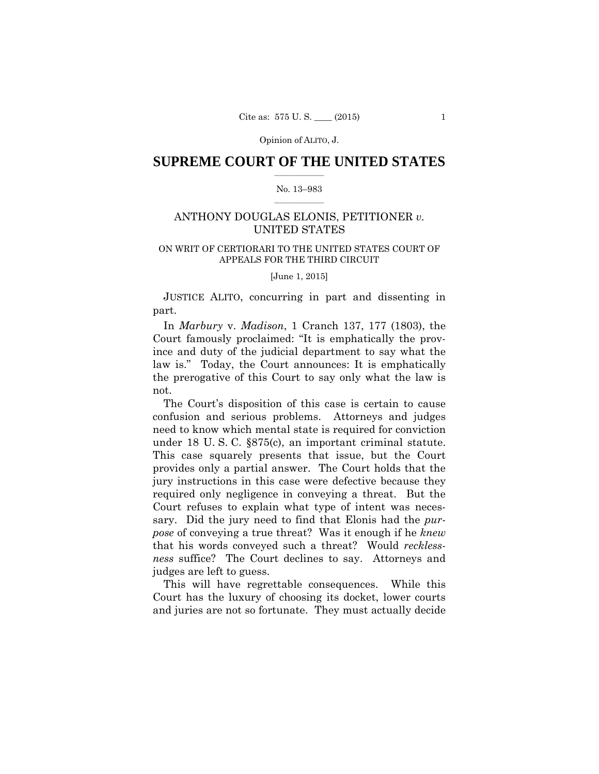## $\frac{1}{2}$  , where  $\frac{1}{2}$ **SUPREME COURT OF THE UNITED STATES**

## $\frac{1}{2}$  ,  $\frac{1}{2}$  ,  $\frac{1}{2}$  ,  $\frac{1}{2}$  ,  $\frac{1}{2}$  ,  $\frac{1}{2}$ No. 13–983

## ANTHONY DOUGLAS ELONIS, PETITIONER *v.* UNITED STATES

## ON WRIT OF CERTIORARI TO THE UNITED STATES COURT OF APPEALS FOR THE THIRD CIRCUIT

[June 1, 2015]

 JUSTICE ALITO, concurring in part and dissenting in part.

 In *Marbury* v. *Madison*, 1 Cranch 137, 177 (1803), the Court famously proclaimed: "It is emphatically the province and duty of the judicial department to say what the law is." Today, the Court announces: It is emphatically the prerogative of this Court to say only what the law is not.

 under 18 U. S. C. §875(c), an important criminal statute. The Court's disposition of this case is certain to cause confusion and serious problems. Attorneys and judges need to know which mental state is required for conviction This case squarely presents that issue, but the Court provides only a partial answer. The Court holds that the jury instructions in this case were defective because they required only negligence in conveying a threat. But the Court refuses to explain what type of intent was necessary. Did the jury need to find that Elonis had the *purpose* of conveying a true threat? Was it enough if he *knew*  that his words conveyed such a threat? Would *recklessness* suffice? The Court declines to say. Attorneys and judges are left to guess.

This will have regrettable consequences. While this Court has the luxury of choosing its docket, lower courts and juries are not so fortunate. They must actually decide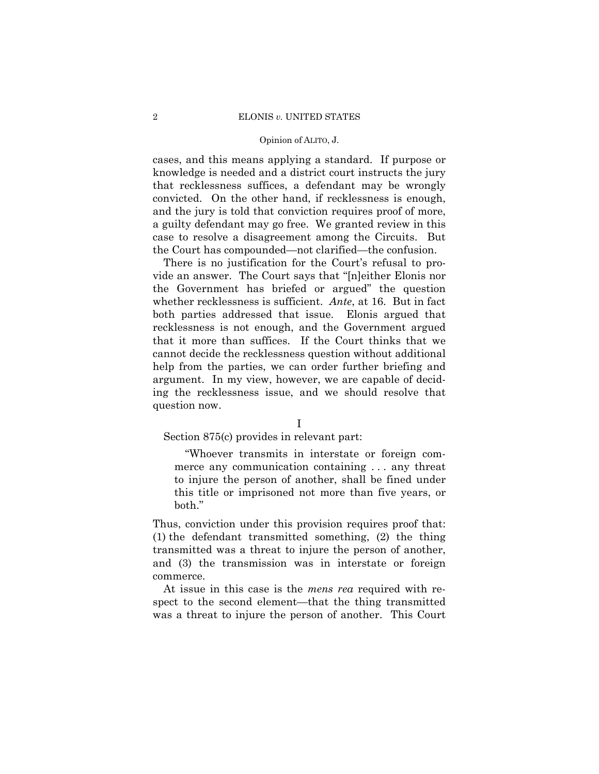## 2 ELONIS *v.* UNITED STATES

#### Opinion of ALITO, J.

cases, and this means applying a standard. If purpose or knowledge is needed and a district court instructs the jury that recklessness suffices, a defendant may be wrongly convicted. On the other hand, if recklessness is enough, and the jury is told that conviction requires proof of more, a guilty defendant may go free. We granted review in this case to resolve a disagreement among the Circuits. But the Court has compounded—not clarified—the confusion.

There is no justification for the Court's refusal to provide an answer. The Court says that "[n]either Elonis nor the Government has briefed or argued" the question whether recklessness is sufficient. *Ante*, at 16. But in fact both parties addressed that issue. Elonis argued that recklessness is not enough, and the Government argued that it more than suffices. If the Court thinks that we cannot decide the recklessness question without additional help from the parties, we can order further briefing and argument. In my view, however, we are capable of deciding the recklessness issue, and we should resolve that question now.

Section 875(c) provides in relevant part:

"Whoever transmits in interstate or foreign commerce any communication containing . . . any threat to injure the person of another, shall be fined under this title or imprisoned not more than five years, or both."

Thus, conviction under this provision requires proof that: (1) the defendant transmitted something, (2) the thing transmitted was a threat to injure the person of another, and (3) the transmission was in interstate or foreign commerce.

At issue in this case is the *mens rea* required with respect to the second element—that the thing transmitted was a threat to injure the person of another. This Court

I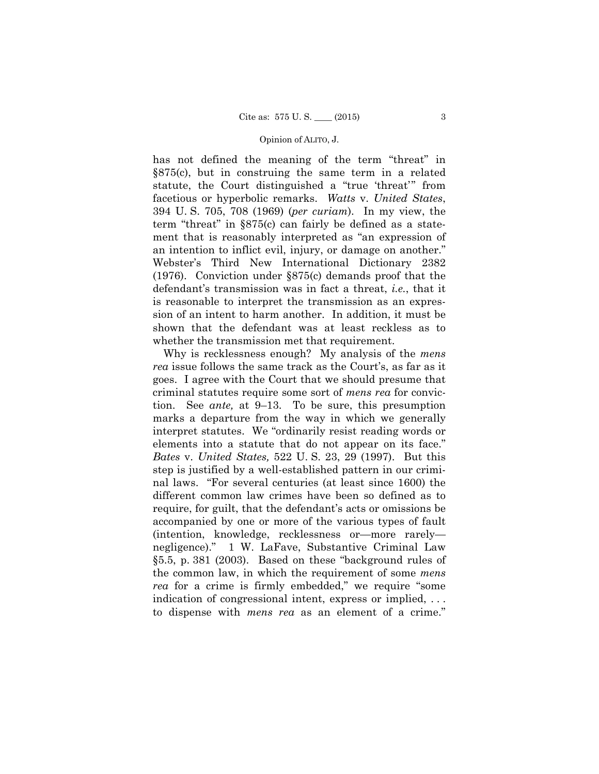has not defined the meaning of the term "threat" in §875(c), but in construing the same term in a related statute, the Court distinguished a "true 'threat'" from facetious or hyperbolic remarks. *Watts* v. *United States*, 394 U. S. 705, 708 (1969) (*per curiam*). In my view, the term "threat" in §875(c) can fairly be defined as a statement that is reasonably interpreted as "an expression of an intention to inflict evil, injury, or damage on another." Webster's Third New International Dictionary 2382 (1976). Conviction under §875(c) demands proof that the defendant's transmission was in fact a threat, *i.e.*, that it is reasonable to interpret the transmission as an expression of an intent to harm another. In addition, it must be shown that the defendant was at least reckless as to whether the transmission met that requirement.

Why is recklessness enough? My analysis of the *mens rea* issue follows the same track as the Court's, as far as it goes. I agree with the Court that we should presume that criminal statutes require some sort of *mens rea* for conviction. See *ante,* at 9–13. To be sure, this presumption marks a departure from the way in which we generally interpret statutes. We "ordinarily resist reading words or elements into a statute that do not appear on its face." *Bates* v. *United States,* 522 U. S. 23, 29 (1997). But this step is justified by a well-established pattern in our criminal laws. "For several centuries (at least since 1600) the different common law crimes have been so defined as to require, for guilt, that the defendant's acts or omissions be accompanied by one or more of the various types of fault (intention, knowledge, recklessness or—more rarely negligence)." 1 W. LaFave, Substantive Criminal Law §5.5, p. 381 (2003). Based on these "background rules of the common law, in which the requirement of some *mens rea* for a crime is firmly embedded," we require "some indication of congressional intent, express or implied, ... to dispense with *mens rea* as an element of a crime."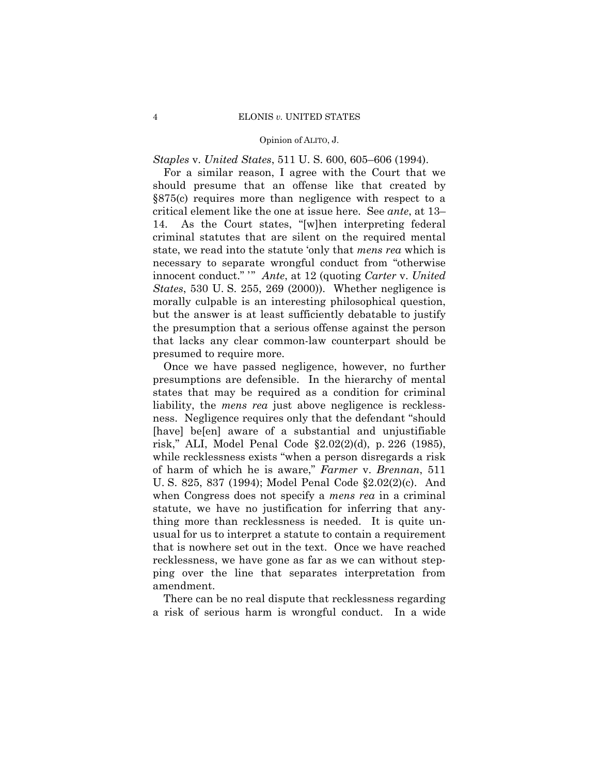*Staples* v. *United States*, 511 U. S. 600, 605–606 (1994).

For a similar reason, I agree with the Court that we should presume that an offense like that created by §875(c) requires more than negligence with respect to a critical element like the one at issue here. See *ante*, at 13– 14. As the Court states, "[w]hen interpreting federal criminal statutes that are silent on the required mental state, we read into the statute 'only that *mens rea* which is necessary to separate wrongful conduct from "otherwise innocent conduct." '" *Ante*, at 12 (quoting *Carter* v. *United States*, 530 U. S. 255, 269 (2000)). Whether negligence is morally culpable is an interesting philosophical question, but the answer is at least sufficiently debatable to justify the presumption that a serious offense against the person that lacks any clear common-law counterpart should be presumed to require more.

Once we have passed negligence, however, no further presumptions are defensible. In the hierarchy of mental states that may be required as a condition for criminal liability, the *mens rea* just above negligence is recklessness. Negligence requires only that the defendant "should [have] be[en] aware of a substantial and unjustifiable risk," ALI, Model Penal Code §2.02(2)(d), p. 226 (1985), while recklessness exists "when a person disregards a risk of harm of which he is aware," *Farmer* v. *Brennan*, 511 U. S. 825, 837 (1994); Model Penal Code §2.02(2)(c). And when Congress does not specify a *mens rea* in a criminal statute, we have no justification for inferring that anything more than recklessness is needed. It is quite unusual for us to interpret a statute to contain a requirement that is nowhere set out in the text. Once we have reached recklessness, we have gone as far as we can without stepping over the line that separates interpretation from amendment.

There can be no real dispute that recklessness regarding a risk of serious harm is wrongful conduct. In a wide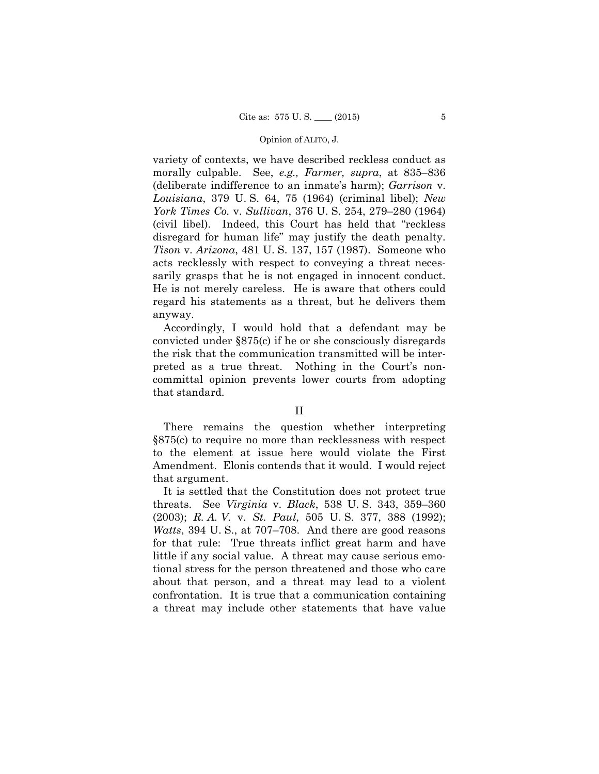disregard for human life" may justify the death penalty. variety of contexts, we have described reckless conduct as morally culpable. See, *e.g., Farmer, supra*, at 835–836 (deliberate indifference to an inmate's harm); *Garrison* v. *Louisiana*, 379 U. S. 64, 75 (1964) (criminal libel); *New York Times Co.* v. *Sullivan*, 376 U. S. 254, 279–280 (1964) (civil libel). Indeed, this Court has held that "reckless *Tison* v. *Arizona*, 481 U. S. 137, 157 (1987). Someone who acts recklessly with respect to conveying a threat necessarily grasps that he is not engaged in innocent conduct. He is not merely careless. He is aware that others could regard his statements as a threat, but he delivers them anyway.

Accordingly, I would hold that a defendant may be convicted under §875(c) if he or she consciously disregards the risk that the communication transmitted will be interpreted as a true threat. Nothing in the Court's noncommittal opinion prevents lower courts from adopting that standard.

## II

There remains the question whether interpreting §875(c) to require no more than recklessness with respect to the element at issue here would violate the First Amendment. Elonis contends that it would. I would reject that argument.

 (2003); *R. A. V.* v. *St. Paul*, 505 U. S. 377, 388 (1992); It is settled that the Constitution does not protect true threats. See *Virginia* v. *Black*, 538 U. S. 343, 359–360 *Watts*, 394 U.S., at 707–708. And there are good reasons for that rule: True threats inflict great harm and have little if any social value. A threat may cause serious emotional stress for the person threatened and those who care about that person, and a threat may lead to a violent confrontation. It is true that a communication containing a threat may include other statements that have value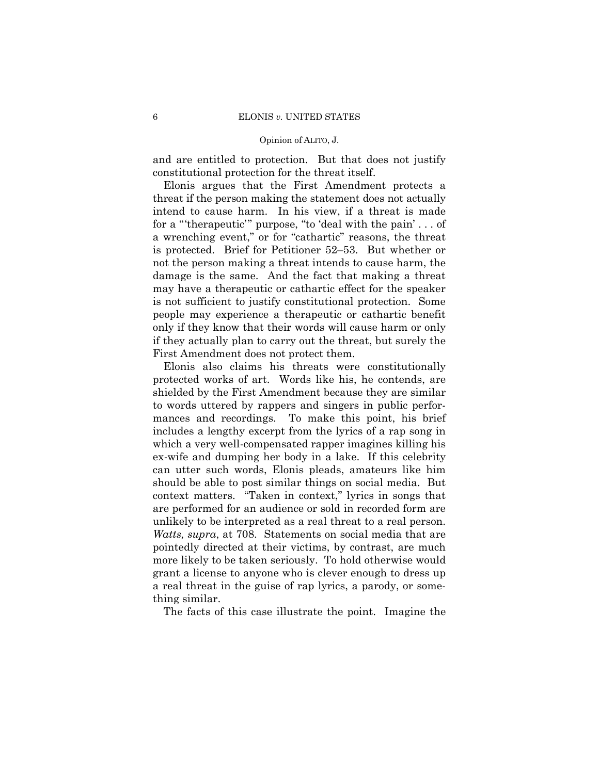and are entitled to protection. But that does not justify constitutional protection for the threat itself.

Elonis argues that the First Amendment protects a threat if the person making the statement does not actually intend to cause harm. In his view, if a threat is made for a "'therapeutic'" purpose, "to 'deal with the pain' . . . of a wrenching event," or for "cathartic" reasons, the threat is protected. Brief for Petitioner 52–53. But whether or not the person making a threat intends to cause harm, the damage is the same. And the fact that making a threat may have a therapeutic or cathartic effect for the speaker is not sufficient to justify constitutional protection. Some people may experience a therapeutic or cathartic benefit only if they know that their words will cause harm or only if they actually plan to carry out the threat, but surely the First Amendment does not protect them.

Elonis also claims his threats were constitutionally protected works of art. Words like his, he contends, are shielded by the First Amendment because they are similar to words uttered by rappers and singers in public performances and recordings. To make this point, his brief includes a lengthy excerpt from the lyrics of a rap song in which a very well-compensated rapper imagines killing his ex-wife and dumping her body in a lake. If this celebrity can utter such words, Elonis pleads, amateurs like him should be able to post similar things on social media. But context matters. "Taken in context," lyrics in songs that are performed for an audience or sold in recorded form are unlikely to be interpreted as a real threat to a real person. *Watts, supra*, at 708. Statements on social media that are pointedly directed at their victims, by contrast, are much more likely to be taken seriously. To hold otherwise would grant a license to anyone who is clever enough to dress up a real threat in the guise of rap lyrics, a parody, or something similar.

The facts of this case illustrate the point. Imagine the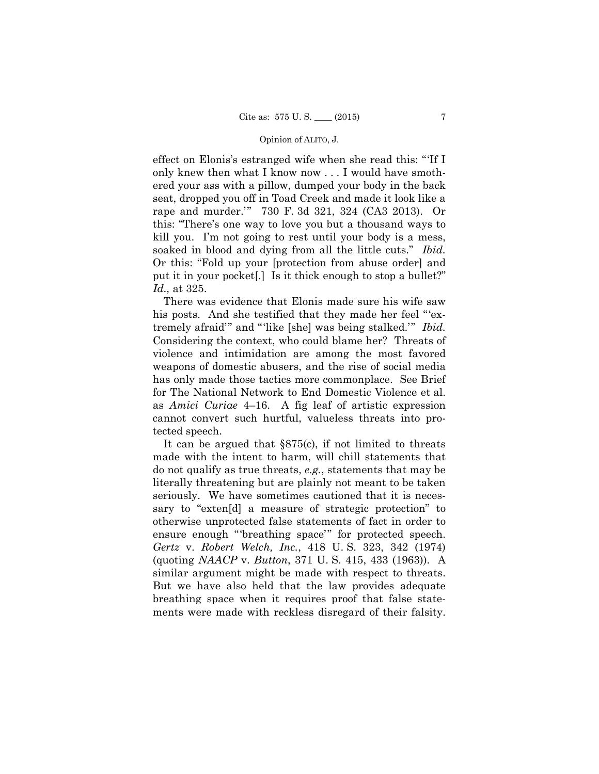effect on Elonis's estranged wife when she read this: "'If I only knew then what I know now . . . I would have smothered your ass with a pillow, dumped your body in the back seat, dropped you off in Toad Creek and made it look like a rape and murder.'" 730 F. 3d 321, 324 (CA3 2013). Or this: "There's one way to love you but a thousand ways to kill you. I'm not going to rest until your body is a mess, soaked in blood and dying from all the little cuts." *Ibid.* Or this: "Fold up your [protection from abuse order] and put it in your pocket[.] Is it thick enough to stop a bullet?" *Id.,* at 325.

There was evidence that Elonis made sure his wife saw his posts. And she testified that they made her feel "'extremely afraid'" and "'like [she] was being stalked.'" *Ibid.* Considering the context, who could blame her? Threats of violence and intimidation are among the most favored weapons of domestic abusers, and the rise of social media has only made those tactics more commonplace. See Brief for The National Network to End Domestic Violence et al. as *Amici Curiae* 4–16. A fig leaf of artistic expression cannot convert such hurtful, valueless threats into protected speech.

It can be argued that  $\S 875(c)$ , if not limited to threats made with the intent to harm, will chill statements that do not qualify as true threats, *e.g.*, statements that may be literally threatening but are plainly not meant to be taken seriously. We have sometimes cautioned that it is necessary to "exten[d] a measure of strategic protection" to otherwise unprotected false statements of fact in order to ensure enough "'breathing space'" for protected speech. *Gertz* v. *Robert Welch, Inc.*, 418 U. S. 323, 342 (1974) (quoting *NAACP* v. *Button*, 371 U. S. 415, 433 (1963)). A similar argument might be made with respect to threats. But we have also held that the law provides adequate breathing space when it requires proof that false statements were made with reckless disregard of their falsity.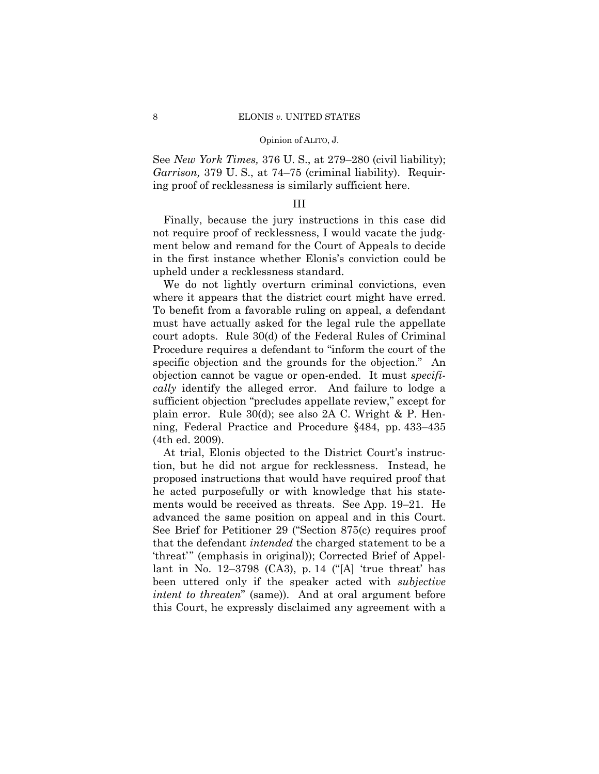See *New York Times,* 376 U. S., at 279–280 (civil liability); *Garrison,* 379 U. S., at 74–75 (criminal liability). Requiring proof of recklessness is similarly sufficient here.

## III

Finally, because the jury instructions in this case did not require proof of recklessness, I would vacate the judgment below and remand for the Court of Appeals to decide in the first instance whether Elonis's conviction could be upheld under a recklessness standard.

We do not lightly overturn criminal convictions, even where it appears that the district court might have erred. To benefit from a favorable ruling on appeal, a defendant must have actually asked for the legal rule the appellate court adopts. Rule 30(d) of the Federal Rules of Criminal Procedure requires a defendant to "inform the court of the specific objection and the grounds for the objection." An objection cannot be vague or open-ended. It must *specifically* identify the alleged error. And failure to lodge a sufficient objection "precludes appellate review," except for plain error. Rule 30(d); see also 2A C. Wright & P. Henning, Federal Practice and Procedure §484, pp. 433–435 (4th ed. 2009).

At trial, Elonis objected to the District Court's instruction, but he did not argue for recklessness. Instead, he proposed instructions that would have required proof that he acted purposefully or with knowledge that his statements would be received as threats. See App. 19–21. He advanced the same position on appeal and in this Court. See Brief for Petitioner 29 ("Section 875(c) requires proof that the defendant *intended* the charged statement to be a 'threat'" (emphasis in original)); Corrected Brief of Appellant in No. 12–3798 (CA3), p. 14 ("[A] 'true threat' has been uttered only if the speaker acted with *subjective intent to threaten*" (same)). And at oral argument before this Court, he expressly disclaimed any agreement with a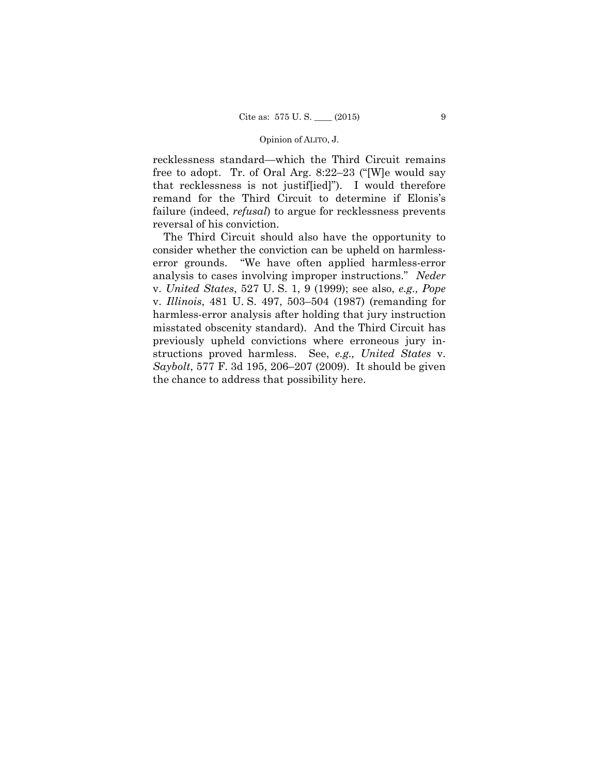recklessness standard—which the Third Circuit remains free to adopt. Tr. of Oral Arg. 8:22–23 ("[W]e would say that recklessness is not justif[ied]"). I would therefore remand for the Third Circuit to determine if Elonis's failure (indeed, *refusal*) to argue for recklessness prevents reversal of his conviction.

 v. *United States*, 527 U. S. 1, 9 (1999); see also, *e.g., Pope*  The Third Circuit should also have the opportunity to consider whether the conviction can be upheld on harmlesserror grounds. "We have often applied harmless-error analysis to cases involving improper instructions." *Neder*  v. *Illinois*, 481 U. S. 497, 503–504 (1987) (remanding for harmless-error analysis after holding that jury instruction misstated obscenity standard). And the Third Circuit has previously upheld convictions where erroneous jury instructions proved harmless. See, *e.g., United States* v. *Saybolt*, 577 F. 3d 195, 206–207 (2009). It should be given the chance to address that possibility here.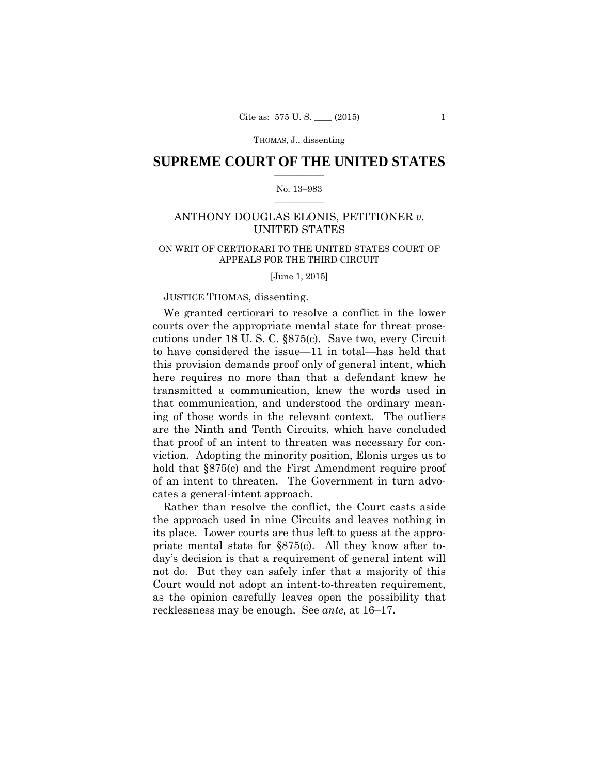## $\frac{1}{2}$  , where  $\frac{1}{2}$ **SUPREME COURT OF THE UNITED STATES**

## $\frac{1}{2}$  ,  $\frac{1}{2}$  ,  $\frac{1}{2}$  ,  $\frac{1}{2}$  ,  $\frac{1}{2}$  ,  $\frac{1}{2}$ No. 13–983

## ANTHONY DOUGLAS ELONIS, PETITIONER *v.* UNITED STATES

## ON WRIT OF CERTIORARI TO THE UNITED STATES COURT OF APPEALS FOR THE THIRD CIRCUIT

[June 1, 2015]

## JUSTICE THOMAS, dissenting.

We granted certiorari to resolve a conflict in the lower courts over the appropriate mental state for threat prosecutions under 18 U. S. C. §875(c). Save two, every Circuit to have considered the issue—11 in total—has held that this provision demands proof only of general intent, which here requires no more than that a defendant knew he transmitted a communication, knew the words used in that communication, and understood the ordinary meaning of those words in the relevant context. The outliers are the Ninth and Tenth Circuits, which have concluded that proof of an intent to threaten was necessary for conviction. Adopting the minority position, Elonis urges us to hold that §875(c) and the First Amendment require proof of an intent to threaten. The Government in turn advocates a general-intent approach.

Rather than resolve the conflict, the Court casts aside the approach used in nine Circuits and leaves nothing in its place. Lower courts are thus left to guess at the appropriate mental state for §875(c). All they know after today's decision is that a requirement of general intent will not do. But they can safely infer that a majority of this Court would not adopt an intent-to-threaten requirement, as the opinion carefully leaves open the possibility that recklessness may be enough. See *ante,* at 16–17.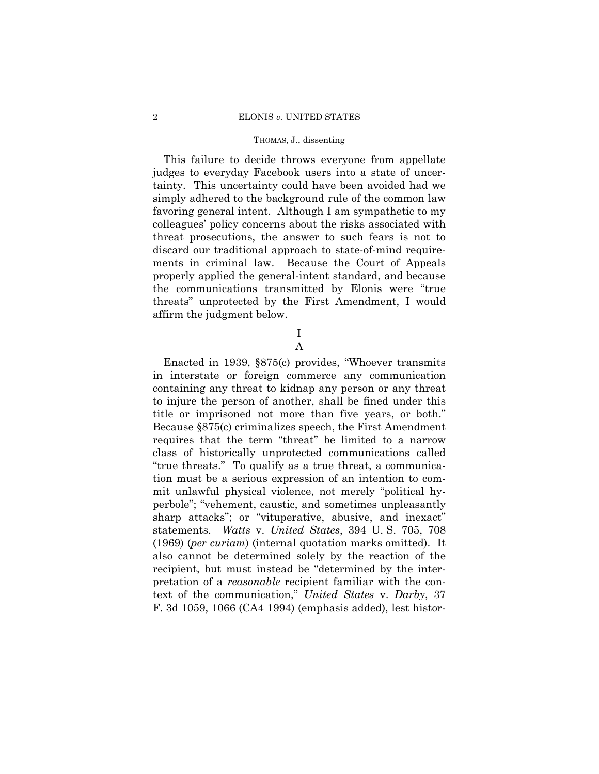## 2 ELONIS *v.* UNITED STATES

## THOMAS, J., dissenting

This failure to decide throws everyone from appellate judges to everyday Facebook users into a state of uncertainty. This uncertainty could have been avoided had we simply adhered to the background rule of the common law favoring general intent. Although I am sympathetic to my colleagues' policy concerns about the risks associated with threat prosecutions, the answer to such fears is not to discard our traditional approach to state-of-mind requirements in criminal law. Because the Court of Appeals properly applied the general-intent standard, and because the communications transmitted by Elonis were "true threats" unprotected by the First Amendment, I would affirm the judgment below.

> I A

Enacted in 1939, §875(c) provides, "Whoever transmits in interstate or foreign commerce any communication containing any threat to kidnap any person or any threat to injure the person of another, shall be fined under this title or imprisoned not more than five years, or both." Because §875(c) criminalizes speech, the First Amendment requires that the term "threat" be limited to a narrow class of historically unprotected communications called "true threats." To qualify as a true threat, a communication must be a serious expression of an intention to commit unlawful physical violence, not merely "political hyperbole"; "vehement, caustic, and sometimes unpleasantly sharp attacks"; or "vituperative, abusive, and inexact" statements. *Watts* v. *United States*, 394 U. S. 705, 708 (1969) (*per curiam*) (internal quotation marks omitted). It also cannot be determined solely by the reaction of the recipient, but must instead be "determined by the interpretation of a *reasonable* recipient familiar with the context of the communication," *United States* v. *Darby*, 37 F. 3d 1059, 1066 (CA4 1994) (emphasis added), lest histor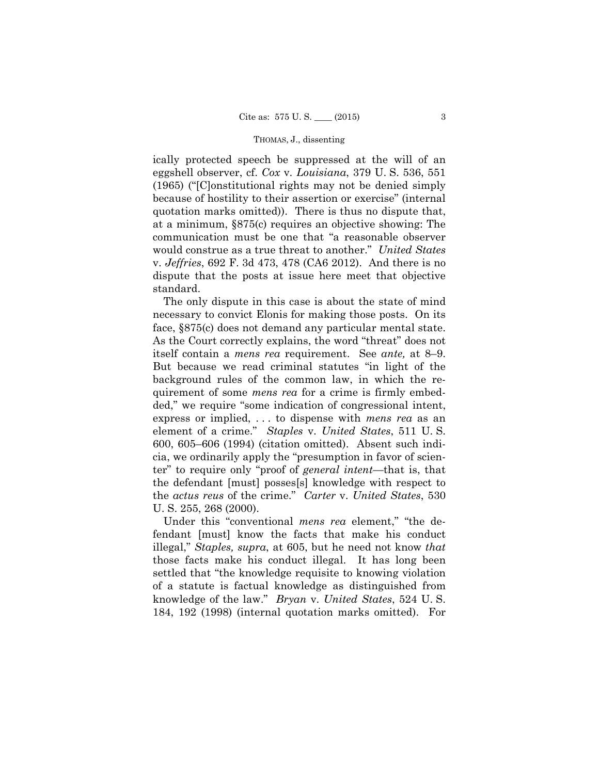ically protected speech be suppressed at the will of an eggshell observer, cf. *Cox* v. *Louisiana*, 379 U. S. 536, 551 (1965) ("[C]onstitutional rights may not be denied simply because of hostility to their assertion or exercise" (internal quotation marks omitted)). There is thus no dispute that, at a minimum, §875(c) requires an objective showing: The communication must be one that "a reasonable observer would construe as a true threat to another." *United States*  v. *Jeffries*, 692 F. 3d 473, 478 (CA6 2012). And there is no dispute that the posts at issue here meet that objective standard.

The only dispute in this case is about the state of mind necessary to convict Elonis for making those posts. On its face, §875(c) does not demand any particular mental state. As the Court correctly explains, the word "threat" does not itself contain a *mens rea* requirement. See *ante,* at 8–9. But because we read criminal statutes "in light of the background rules of the common law, in which the requirement of some *mens rea* for a crime is firmly embedded," we require "some indication of congressional intent, express or implied, . . . to dispense with *mens rea* as an element of a crime." *Staples* v. *United States*, 511 U. S. 600, 605–606 (1994) (citation omitted). Absent such indicia, we ordinarily apply the "presumption in favor of scienter" to require only "proof of *general intent*—that is, that the defendant [must] posses[s] knowledge with respect to the *actus reus* of the crime." *Carter* v. *United States*, 530 U. S. 255, 268 (2000).

Under this "conventional *mens rea* element," "the defendant [must] know the facts that make his conduct illegal," *Staples, supra*, at 605, but he need not know *that*  those facts make his conduct illegal. It has long been settled that "the knowledge requisite to knowing violation of a statute is factual knowledge as distinguished from knowledge of the law." *Bryan* v. *United States*, 524 U. S. 184, 192 (1998) (internal quotation marks omitted). For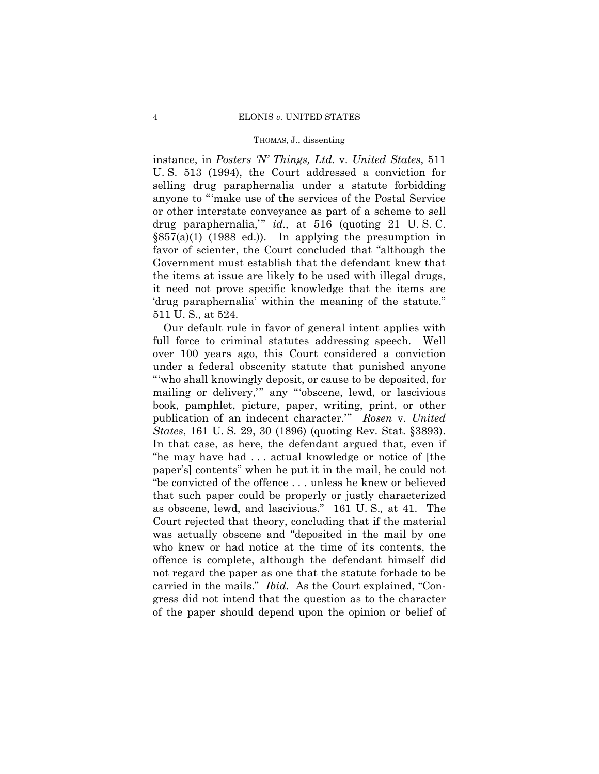instance, in *Posters 'N' Things, Ltd.* v. *United States*, 511 U. S. 513 (1994), the Court addressed a conviction for selling drug paraphernalia under a statute forbidding anyone to "'make use of the services of the Postal Service or other interstate conveyance as part of a scheme to sell drug paraphernalia,'" *id.,* at 516 (quoting 21 U. S. C.  $§857(a)(1)$  (1988 ed.)). In applying the presumption in favor of scienter, the Court concluded that "although the Government must establish that the defendant knew that the items at issue are likely to be used with illegal drugs, it need not prove specific knowledge that the items are 'drug paraphernalia' within the meaning of the statute." 511 U. S.*,* at 524.

Our default rule in favor of general intent applies with full force to criminal statutes addressing speech. Well over 100 years ago, this Court considered a conviction under a federal obscenity statute that punished anyone "'who shall knowingly deposit, or cause to be deposited, for mailing or delivery,'" any "'obscene, lewd, or lascivious book, pamphlet, picture, paper, writing, print, or other publication of an indecent character.'" *Rosen* v. *United States*, 161 U. S. 29, 30 (1896) (quoting Rev. Stat. §3893). In that case, as here, the defendant argued that, even if "he may have had . . . actual knowledge or notice of [the paper's] contents" when he put it in the mail, he could not "be convicted of the offence . . . unless he knew or believed that such paper could be properly or justly characterized as obscene, lewd, and lascivious." 161 U. S.*,* at 41. The Court rejected that theory, concluding that if the material was actually obscene and "deposited in the mail by one who knew or had notice at the time of its contents, the offence is complete, although the defendant himself did not regard the paper as one that the statute forbade to be carried in the mails." *Ibid.* As the Court explained, "Congress did not intend that the question as to the character of the paper should depend upon the opinion or belief of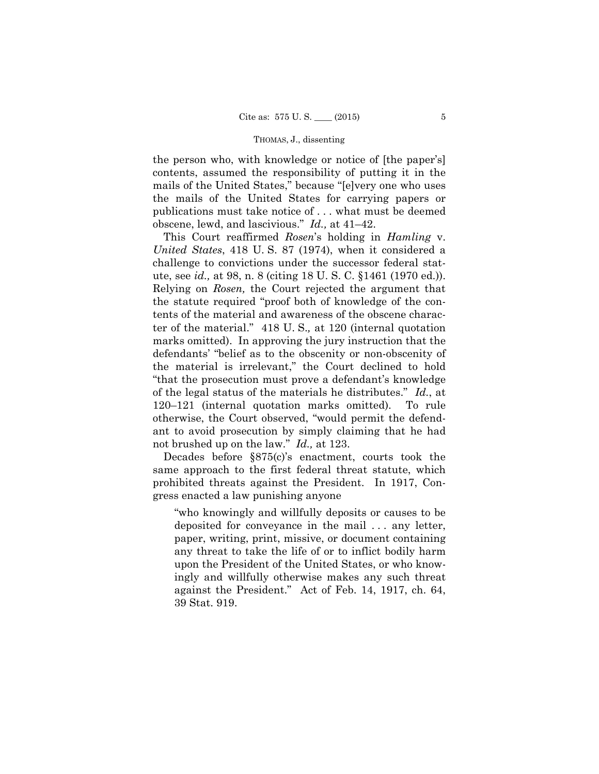the person who, with knowledge or notice of [the paper's] contents, assumed the responsibility of putting it in the mails of the United States," because "[e]very one who uses the mails of the United States for carrying papers or publications must take notice of . . . what must be deemed obscene, lewd, and lascivious." *Id.,* at 41–42.

This Court reaffirmed *Rosen*'s holding in *Hamling* v. *United States*, 418 U. S. 87 (1974), when it considered a challenge to convictions under the successor federal statute, see *id.,* at 98, n. 8 (citing 18 U. S. C. §1461 (1970 ed.)). Relying on *Rosen,* the Court rejected the argument that the statute required "proof both of knowledge of the contents of the material and awareness of the obscene character of the material." 418 U. S.*,* at 120 (internal quotation marks omitted). In approving the jury instruction that the defendants' "belief as to the obscenity or non-obscenity of the material is irrelevant," the Court declined to hold "that the prosecution must prove a defendant's knowledge of the legal status of the materials he distributes." *Id.*, at 120–121 (internal quotation marks omitted). To rule otherwise, the Court observed, "would permit the defendant to avoid prosecution by simply claiming that he had not brushed up on the law." *Id.,* at 123.

Decades before §875(c)'s enactment, courts took the same approach to the first federal threat statute, which prohibited threats against the President. In 1917, Congress enacted a law punishing anyone

"who knowingly and willfully deposits or causes to be deposited for conveyance in the mail . . . any letter, paper, writing, print, missive, or document containing any threat to take the life of or to inflict bodily harm upon the President of the United States, or who knowingly and willfully otherwise makes any such threat against the President." Act of Feb. 14, 1917, ch. 64, 39 Stat. 919.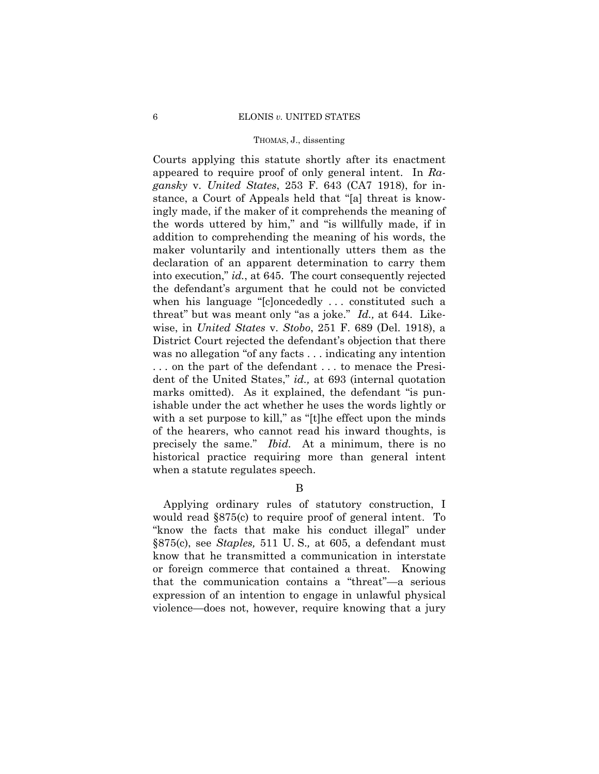Courts applying this statute shortly after its enactment appeared to require proof of only general intent. In *Ragansky* v. *United States*, 253 F. 643 (CA7 1918), for instance, a Court of Appeals held that "[a] threat is knowingly made, if the maker of it comprehends the meaning of the words uttered by him," and "is willfully made, if in addition to comprehending the meaning of his words, the maker voluntarily and intentionally utters them as the declaration of an apparent determination to carry them into execution," *id.*, at 645. The court consequently rejected the defendant's argument that he could not be convicted when his language "[c]oncededly ... constituted such a threat" but was meant only "as a joke." *Id.,* at 644. Likewise, in *United States* v. *Stobo*, 251 F. 689 (Del. 1918), a District Court rejected the defendant's objection that there was no allegation "of any facts . . . indicating any intention . . . on the part of the defendant . . . to menace the President of the United States," *id.,* at 693 (internal quotation marks omitted). As it explained, the defendant "is punishable under the act whether he uses the words lightly or with a set purpose to kill," as "[t]he effect upon the minds of the hearers, who cannot read his inward thoughts, is precisely the same." *Ibid.* At a minimum, there is no historical practice requiring more than general intent when a statute regulates speech.

B

Applying ordinary rules of statutory construction, I would read §875(c) to require proof of general intent. To "know the facts that make his conduct illegal" under §875(c), see *Staples,* 511 U. S.*,* at 605, a defendant must know that he transmitted a communication in interstate or foreign commerce that contained a threat. Knowing that the communication contains a "threat"—a serious expression of an intention to engage in unlawful physical violence—does not, however, require knowing that a jury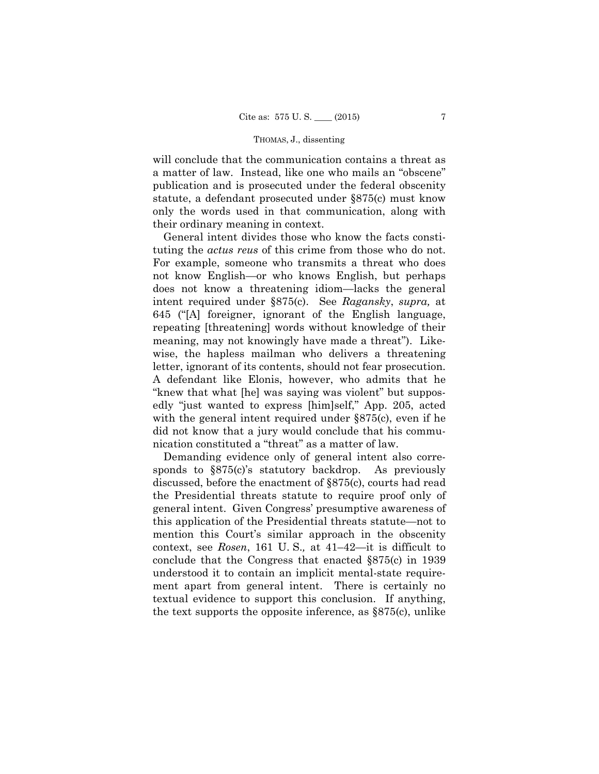will conclude that the communication contains a threat as a matter of law. Instead, like one who mails an "obscene" publication and is prosecuted under the federal obscenity statute, a defendant prosecuted under §875(c) must know only the words used in that communication, along with their ordinary meaning in context.

 letter, ignorant of its contents, should not fear prosecution. General intent divides those who know the facts constituting the *actus reus* of this crime from those who do not. For example, someone who transmits a threat who does not know English—or who knows English, but perhaps does not know a threatening idiom—lacks the general intent required under §875(c). See *Ragansky*, *supra,* at 645 ("[A] foreigner, ignorant of the English language, repeating [threatening] words without knowledge of their meaning, may not knowingly have made a threat"). Likewise, the hapless mailman who delivers a threatening A defendant like Elonis, however, who admits that he "knew that what [he] was saying was violent" but supposedly "just wanted to express [him]self," App. 205, acted with the general intent required under  $\S 875(c)$ , even if he did not know that a jury would conclude that his communication constituted a "threat" as a matter of law.

Demanding evidence only of general intent also corresponds to §875(c)'s statutory backdrop. As previously discussed, before the enactment of §875(c), courts had read the Presidential threats statute to require proof only of general intent. Given Congress' presumptive awareness of this application of the Presidential threats statute—not to mention this Court's similar approach in the obscenity context, see *Rosen*, 161 U. S.*,* at 41–42—it is difficult to conclude that the Congress that enacted §875(c) in 1939 understood it to contain an implicit mental-state requirement apart from general intent. There is certainly no textual evidence to support this conclusion. If anything, the text supports the opposite inference, as  $\S 875(c)$ , unlike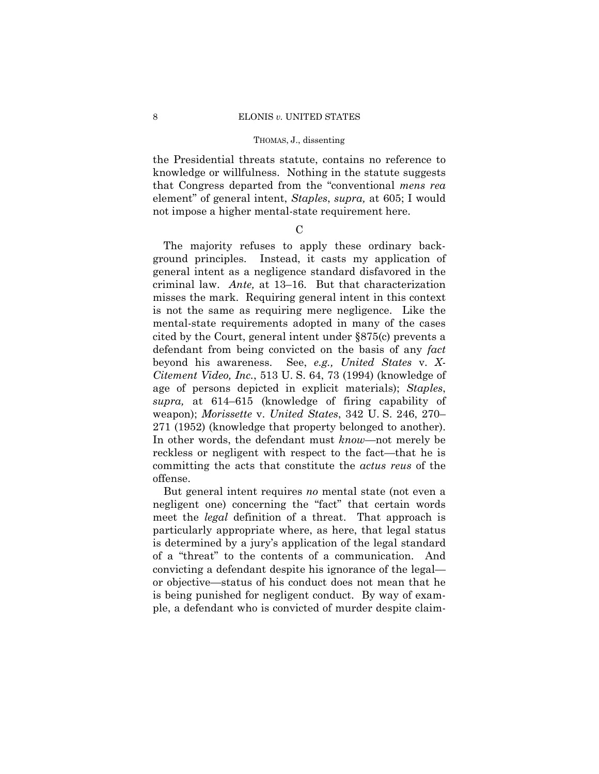the Presidential threats statute, contains no reference to knowledge or willfulness. Nothing in the statute suggests that Congress departed from the "conventional *mens rea*  element" of general intent, *Staples*, *supra,* at 605; I would not impose a higher mental-state requirement here.

C

 271 (1952) (knowledge that property belonged to another). The majority refuses to apply these ordinary background principles. Instead, it casts my application of general intent as a negligence standard disfavored in the criminal law. *Ante,* at 13–16. But that characterization misses the mark. Requiring general intent in this context is not the same as requiring mere negligence. Like the mental-state requirements adopted in many of the cases cited by the Court, general intent under §875(c) prevents a defendant from being convicted on the basis of any *fact*  beyond his awareness. See, *e.g., United States* v. *X-Citement Video, Inc.*, 513 U. S. 64, 73 (1994) (knowledge of age of persons depicted in explicit materials); *Staples*, *supra,* at 614–615 (knowledge of firing capability of weapon); *Morissette* v. *United States*, 342 U. S. 246, 270– In other words, the defendant must *know*—not merely be reckless or negligent with respect to the fact—that he is committing the acts that constitute the *actus reus* of the offense.

But general intent requires *no* mental state (not even a negligent one) concerning the "fact" that certain words meet the *legal* definition of a threat. That approach is particularly appropriate where, as here, that legal status is determined by a jury's application of the legal standard of a "threat" to the contents of a communication. And convicting a defendant despite his ignorance of the legal or objective—status of his conduct does not mean that he is being punished for negligent conduct. By way of example, a defendant who is convicted of murder despite claim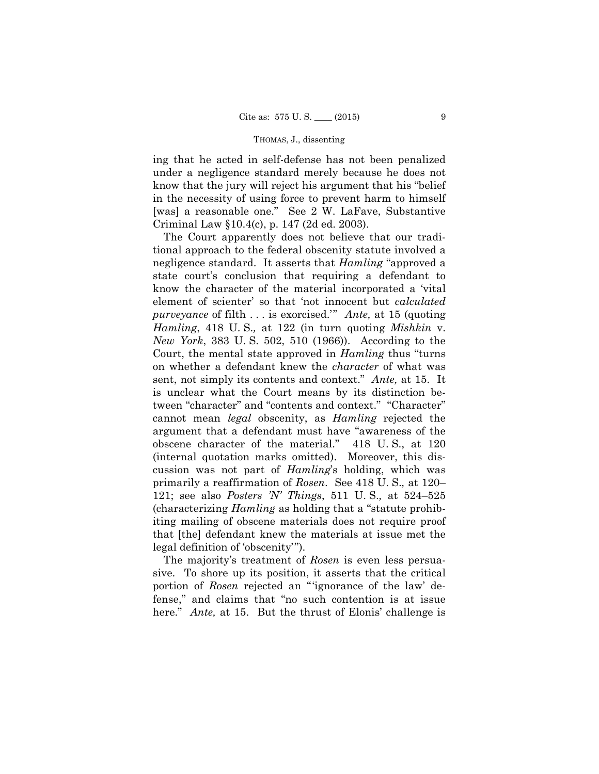ing that he acted in self-defense has not been penalized under a negligence standard merely because he does not know that the jury will reject his argument that his "belief in the necessity of using force to prevent harm to himself [was] a reasonable one." See 2 W. LaFave, Substantive Criminal Law §10.4(c), p. 147 (2d ed. 2003).

The Court apparently does not believe that our traditional approach to the federal obscenity statute involved a negligence standard. It asserts that *Hamling* "approved a state court's conclusion that requiring a defendant to know the character of the material incorporated a 'vital element of scienter' so that 'not innocent but *calculated purveyance* of filth . . . is exorcised.'" *Ante,* at 15 (quoting *Hamling*, 418 U. S.*,* at 122 (in turn quoting *Mishkin* v. *New York*, 383 U. S. 502, 510 (1966)). According to the Court, the mental state approved in *Hamling* thus "turns on whether a defendant knew the *character* of what was sent, not simply its contents and context." *Ante,* at 15. It is unclear what the Court means by its distinction between "character" and "contents and context." "Character" cannot mean *legal* obscenity, as *Hamling* rejected the argument that a defendant must have "awareness of the obscene character of the material." 418 U. S., at 120 (internal quotation marks omitted). Moreover, this discussion was not part of *Hamling*'s holding, which was primarily a reaffirmation of *Rosen*. See 418 U. S.*,* at 120– 121; see also *Posters 'N' Things*, 511 U. S.*,* at 524–525 (characterizing *Hamling* as holding that a "statute prohibiting mailing of obscene materials does not require proof that [the] defendant knew the materials at issue met the legal definition of 'obscenity'").

The majority's treatment of *Rosen* is even less persuasive. To shore up its position, it asserts that the critical portion of *Rosen* rejected an "'ignorance of the law' defense," and claims that "no such contention is at issue here." *Ante,* at 15. But the thrust of Elonis' challenge is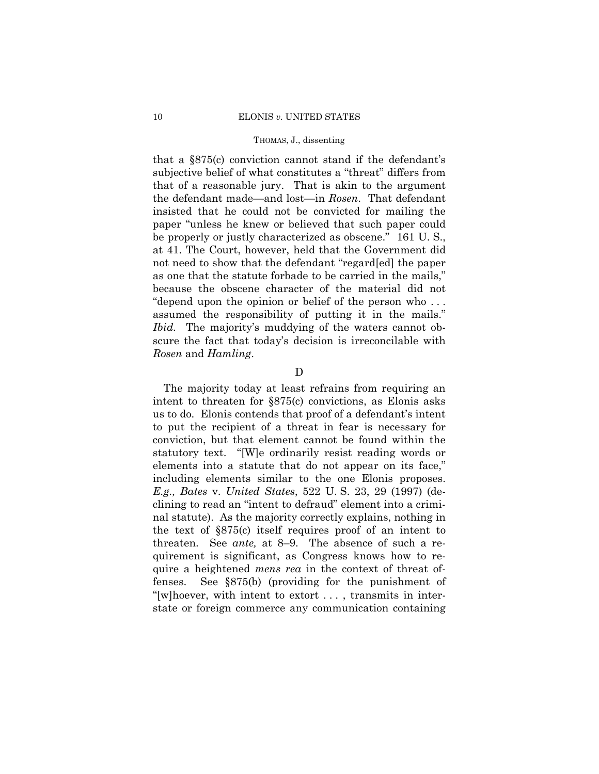that a §875(c) conviction cannot stand if the defendant's subjective belief of what constitutes a "threat" differs from that of a reasonable jury. That is akin to the argument the defendant made—and lost—in *Rosen*. That defendant insisted that he could not be convicted for mailing the paper "unless he knew or believed that such paper could be properly or justly characterized as obscene." 161 U. S., at 41. The Court, however, held that the Government did not need to show that the defendant "regard[ed] the paper as one that the statute forbade to be carried in the mails," because the obscene character of the material did not "depend upon the opinion or belief of the person who . . . assumed the responsibility of putting it in the mails." *Ibid.* The majority's muddying of the waters cannot obscure the fact that today's decision is irreconcilable with *Rosen* and *Hamling*.

The majority today at least refrains from requiring an intent to threaten for §875(c) convictions, as Elonis asks us to do. Elonis contends that proof of a defendant's intent to put the recipient of a threat in fear is necessary for conviction, but that element cannot be found within the statutory text. "[W]e ordinarily resist reading words or elements into a statute that do not appear on its face," including elements similar to the one Elonis proposes. *E.g., Bates* v. *United States*, 522 U. S. 23, 29 (1997) (declining to read an "intent to defraud" element into a criminal statute). As the majority correctly explains, nothing in the text of §875(c) itself requires proof of an intent to threaten. See *ante,* at 8–9. The absence of such a requirement is significant, as Congress knows how to require a heightened *mens rea* in the context of threat offenses. See §875(b) (providing for the punishment of "[w]hoever, with intent to extort . . . , transmits in interstate or foreign commerce any communication containing

D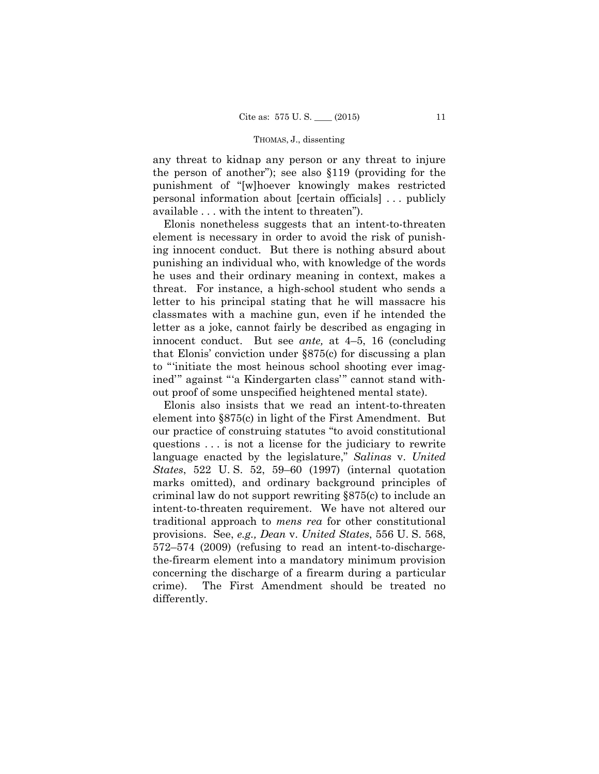any threat to kidnap any person or any threat to injure the person of another"); see also §119 (providing for the punishment of "[w]hoever knowingly makes restricted personal information about [certain officials] . . . publicly available . . . with the intent to threaten").

Elonis nonetheless suggests that an intent-to-threaten element is necessary in order to avoid the risk of punishing innocent conduct. But there is nothing absurd about punishing an individual who, with knowledge of the words he uses and their ordinary meaning in context, makes a threat. For instance, a high-school student who sends a letter to his principal stating that he will massacre his classmates with a machine gun, even if he intended the letter as a joke, cannot fairly be described as engaging in innocent conduct. But see *ante,* at 4–5, 16 (concluding that Elonis' conviction under §875(c) for discussing a plan to "'initiate the most heinous school shooting ever imagined'" against "'a Kindergarten class'" cannot stand without proof of some unspecified heightened mental state).

 crime). The First Amendment should be treated no differently. Elonis also insists that we read an intent-to-threaten element into §875(c) in light of the First Amendment. But our practice of construing statutes "to avoid constitutional questions . . . is not a license for the judiciary to rewrite language enacted by the legislature," *Salinas* v. *United States*, 522 U. S. 52, 59–60 (1997) (internal quotation marks omitted), and ordinary background principles of criminal law do not support rewriting §875(c) to include an intent-to-threaten requirement. We have not altered our traditional approach to *mens rea* for other constitutional provisions. See, *e.g., Dean* v. *United States*, 556 U. S. 568, 572–574 (2009) (refusing to read an intent-to-dischargethe-firearm element into a mandatory minimum provision concerning the discharge of a firearm during a particular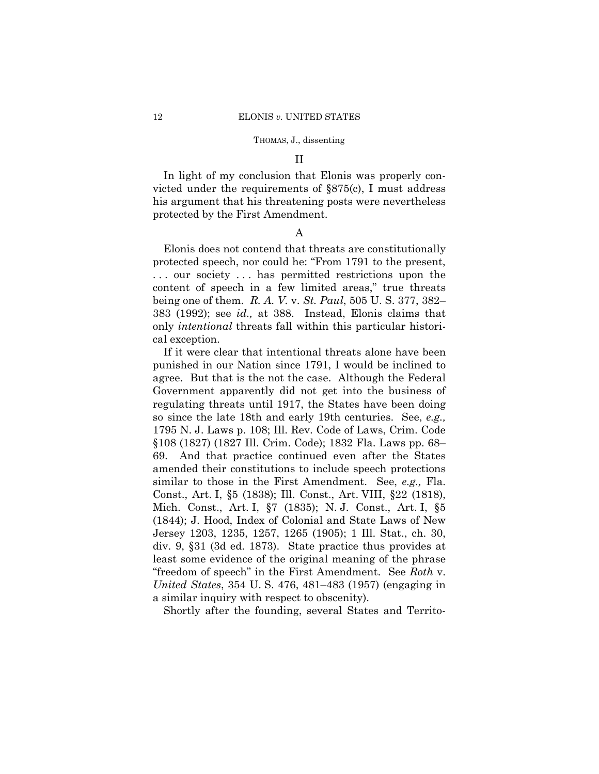## II

In light of my conclusion that Elonis was properly convicted under the requirements of §875(c), I must address his argument that his threatening posts were nevertheless protected by the First Amendment.

## A

Elonis does not contend that threats are constitutionally protected speech, nor could he: "From 1791 to the present, . . . our society . . . has permitted restrictions upon the content of speech in a few limited areas," true threats being one of them. *R. A. V.* v. *St. Paul*, 505 U. S. 377, 382– 383 (1992); see *id.,* at 388. Instead, Elonis claims that only *intentional* threats fall within this particular historical exception.

If it were clear that intentional threats alone have been punished in our Nation since 1791, I would be inclined to agree. But that is the not the case. Although the Federal Government apparently did not get into the business of regulating threats until 1917, the States have been doing so since the late 18th and early 19th centuries. See, *e.g.,* 1795 N. J. Laws p. 108; Ill. Rev. Code of Laws, Crim. Code §108 (1827) (1827 Ill. Crim. Code); 1832 Fla. Laws pp. 68– 69. And that practice continued even after the States amended their constitutions to include speech protections similar to those in the First Amendment. See, *e.g.,* Fla. Const., Art. I, §5 (1838); Ill. Const., Art. VIII, §22 (1818), Mich. Const., Art. I, §7 (1835); N. J. Const., Art. I, §5 (1844); J. Hood, Index of Colonial and State Laws of New Jersey 1203, 1235, 1257, 1265 (1905); 1 Ill. Stat., ch. 30, div. 9, §31 (3d ed. 1873). State practice thus provides at least some evidence of the original meaning of the phrase "freedom of speech" in the First Amendment. See *Roth* v. *United States*, 354 U. S. 476, 481–483 (1957) (engaging in a similar inquiry with respect to obscenity).

Shortly after the founding, several States and Territo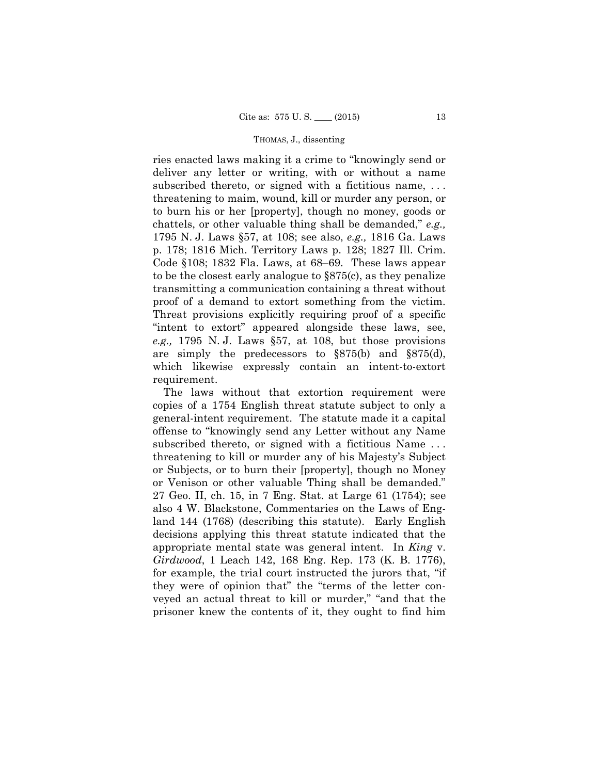are simply the predecessors to §875(b) and §875(d), which likewise expressly contain an intent-to-extort requirement. ries enacted laws making it a crime to "knowingly send or deliver any letter or writing, with or without a name subscribed thereto, or signed with a fictitious name, ... threatening to maim, wound, kill or murder any person, or to burn his or her [property], though no money, goods or chattels, or other valuable thing shall be demanded," *e.g.,*  1795 N. J. Laws §57, at 108; see also, *e.g.,* 1816 Ga. Laws p. 178; 1816 Mich. Territory Laws p. 128; 1827 Ill. Crim. Code §108; 1832 Fla. Laws, at 68–69. These laws appear to be the closest early analogue to §875(c), as they penalize transmitting a communication containing a threat without proof of a demand to extort something from the victim. Threat provisions explicitly requiring proof of a specific "intent to extort" appeared alongside these laws, see, *e.g.,* 1795 N. J. Laws §57, at 108, but those provisions

The laws without that extortion requirement were copies of a 1754 English threat statute subject to only a general-intent requirement. The statute made it a capital offense to "knowingly send any Letter without any Name subscribed thereto, or signed with a fictitious Name . . . threatening to kill or murder any of his Majesty's Subject or Subjects, or to burn their [property], though no Money or Venison or other valuable Thing shall be demanded." 27 Geo. II, ch. 15, in 7 Eng. Stat. at Large 61 (1754); see also 4 W. Blackstone, Commentaries on the Laws of England 144 (1768) (describing this statute). Early English decisions applying this threat statute indicated that the appropriate mental state was general intent. In *King* v. *Girdwood*, 1 Leach 142, 168 Eng. Rep. 173 (K. B. 1776), for example, the trial court instructed the jurors that, "if they were of opinion that" the "terms of the letter conveyed an actual threat to kill or murder," "and that the prisoner knew the contents of it, they ought to find him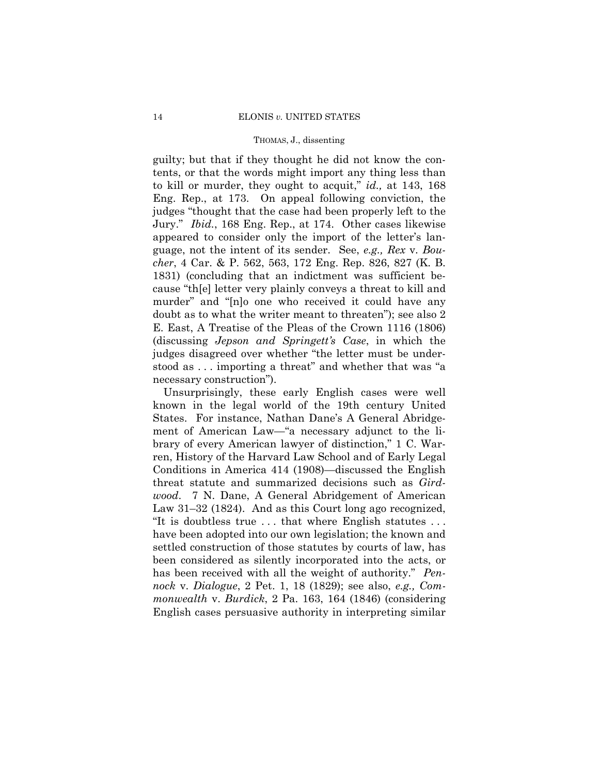guilty; but that if they thought he did not know the contents, or that the words might import any thing less than to kill or murder, they ought to acquit," *id.,* at 143, 168 Eng. Rep., at 173. On appeal following conviction, the judges "thought that the case had been properly left to the Jury." *Ibid.*, 168 Eng. Rep., at 174. Other cases likewise appeared to consider only the import of the letter's language, not the intent of its sender. See, *e.g., Rex* v. *Boucher*, 4 Car. & P. 562, 563, 172 Eng. Rep. 826, 827 (K. B. 1831) (concluding that an indictment was sufficient because "th[e] letter very plainly conveys a threat to kill and murder" and "[n]o one who received it could have any doubt as to what the writer meant to threaten"); see also 2 E. East, A Treatise of the Pleas of the Crown 1116 (1806) (discussing *Jepson and Springett's Case*, in which the judges disagreed over whether "the letter must be understood as . . . importing a threat" and whether that was "a necessary construction").

Unsurprisingly, these early English cases were well known in the legal world of the 19th century United States. For instance, Nathan Dane's A General Abridgement of American Law—"a necessary adjunct to the library of every American lawyer of distinction," 1 C. Warren, History of the Harvard Law School and of Early Legal Conditions in America 414 (1908)—discussed the English threat statute and summarized decisions such as *Girdwood*. 7 N. Dane, A General Abridgement of American Law 31–32 (1824). And as this Court long ago recognized, "It is doubtless true . . . that where English statutes . . . have been adopted into our own legislation; the known and settled construction of those statutes by courts of law, has been considered as silently incorporated into the acts, or has been received with all the weight of authority." *Pennock* v. *Dialogue*, 2 Pet. 1, 18 (1829); see also, *e.g., Commonwealth* v. *Burdick*, 2 Pa. 163, 164 (1846) (considering English cases persuasive authority in interpreting similar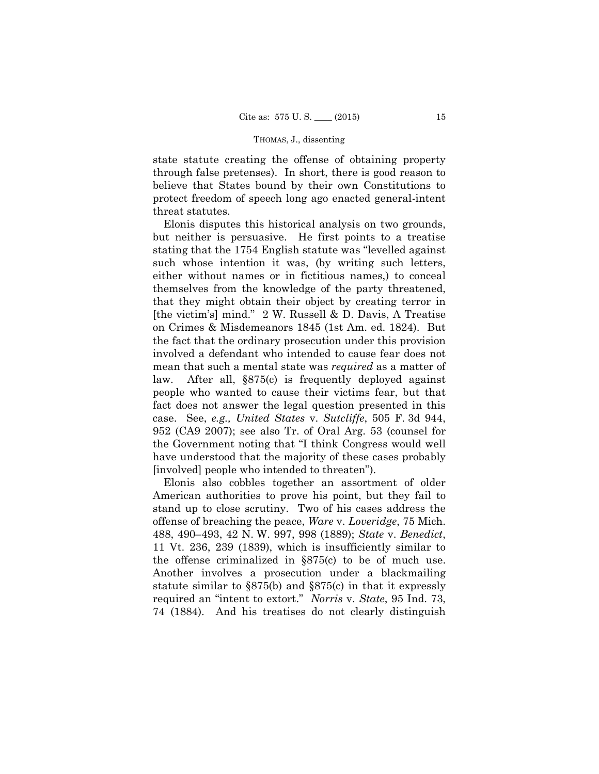state statute creating the offense of obtaining property through false pretenses). In short, there is good reason to believe that States bound by their own Constitutions to protect freedom of speech long ago enacted general-intent threat statutes.

Elonis disputes this historical analysis on two grounds, but neither is persuasive. He first points to a treatise stating that the 1754 English statute was "levelled against such whose intention it was, (by writing such letters, either without names or in fictitious names,) to conceal themselves from the knowledge of the party threatened, that they might obtain their object by creating terror in [the victim's] mind." 2 W. Russell & D. Davis, A Treatise on Crimes & Misdemeanors 1845 (1st Am. ed. 1824). But the fact that the ordinary prosecution under this provision involved a defendant who intended to cause fear does not mean that such a mental state was *required* as a matter of law. After all, §875(c) is frequently deployed against people who wanted to cause their victims fear, but that fact does not answer the legal question presented in this case. See, *e.g., United States* v. *Sutcliffe*, 505 F. 3d 944, 952 (CA9 2007); see also Tr. of Oral Arg. 53 (counsel for the Government noting that "I think Congress would well have understood that the majority of these cases probably [involved] people who intended to threaten").

Elonis also cobbles together an assortment of older American authorities to prove his point, but they fail to stand up to close scrutiny. Two of his cases address the offense of breaching the peace, *Ware* v. *Loveridge*, 75 Mich. 488, 490–493, 42 N. W. 997, 998 (1889); *State* v. *Benedict*, 11 Vt. 236, 239 (1839), which is insufficiently similar to the offense criminalized in §875(c) to be of much use. Another involves a prosecution under a blackmailing statute similar to §875(b) and §875(c) in that it expressly required an "intent to extort." *Norris* v. *State*, 95 Ind. 73, 74 (1884). And his treatises do not clearly distinguish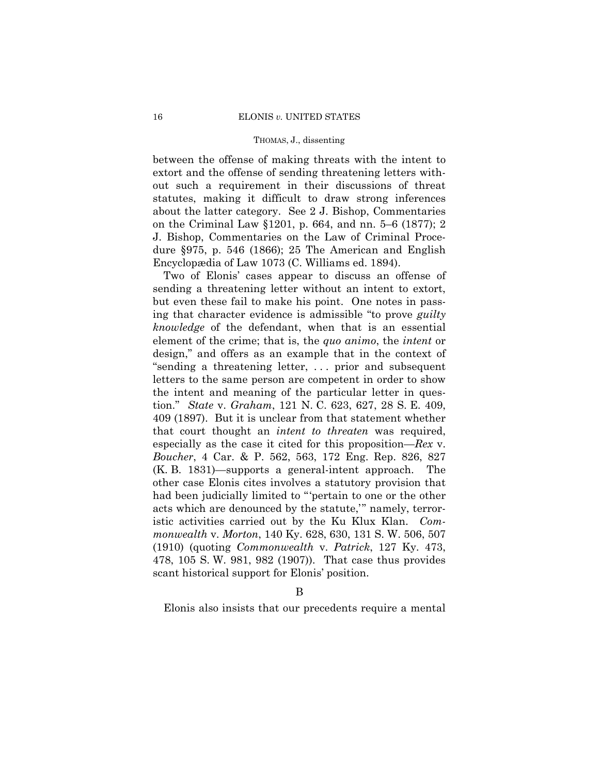between the offense of making threats with the intent to extort and the offense of sending threatening letters without such a requirement in their discussions of threat statutes, making it difficult to draw strong inferences about the latter category. See 2 J. Bishop, Commentaries on the Criminal Law §1201, p. 664, and nn. 5–6 (1877); 2 J. Bishop, Commentaries on the Law of Criminal Procedure §975, p. 546 (1866); 25 The American and English Encyclopædia of Law 1073 (C. Williams ed. 1894).

Two of Elonis' cases appear to discuss an offense of sending a threatening letter without an intent to extort, but even these fail to make his point. One notes in passing that character evidence is admissible "to prove *guilty knowledge* of the defendant, when that is an essential element of the crime; that is, the *quo animo*, the *intent* or design," and offers as an example that in the context of "sending a threatening letter, . . . prior and subsequent letters to the same person are competent in order to show the intent and meaning of the particular letter in question." *State* v. *Graham*, 121 N. C. 623, 627, 28 S. E. 409, 409 (1897). But it is unclear from that statement whether that court thought an *intent to threaten* was required, especially as the case it cited for this proposition—*Rex* v. *Boucher*, 4 Car. & P. 562, 563, 172 Eng. Rep. 826, 827 (K. B. 1831)—supports a general-intent approach. The other case Elonis cites involves a statutory provision that had been judicially limited to "'pertain to one or the other acts which are denounced by the statute,'" namely, terroristic activities carried out by the Ku Klux Klan. *Commonwealth* v. *Morton*, 140 Ky. 628, 630, 131 S. W. 506, 507 (1910) (quoting *Commonwealth* v. *Patrick*, 127 Ky. 473, 478, 105 S. W. 981, 982 (1907)). That case thus provides scant historical support for Elonis' position.

B

Elonis also insists that our precedents require a mental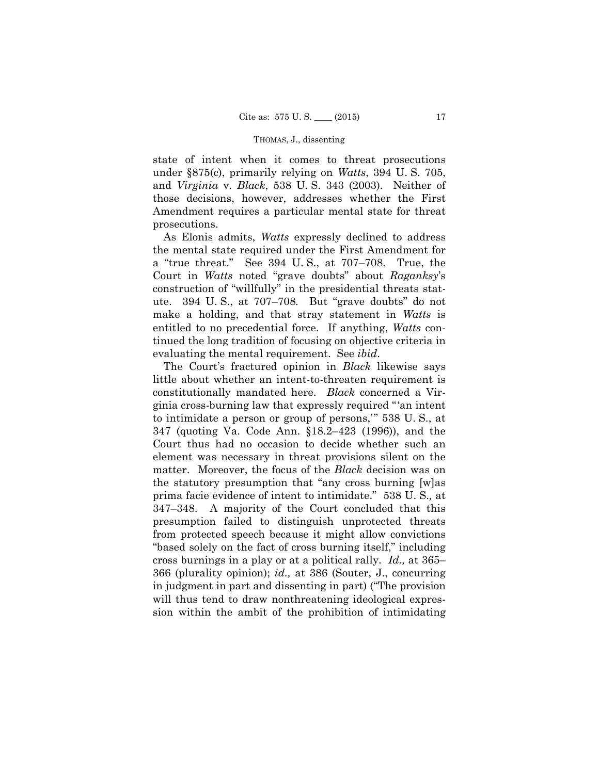state of intent when it comes to threat prosecutions under §875(c), primarily relying on *Watts*, 394 U. S. 705, and *Virginia* v. *Black*, 538 U. S. 343 (2003). Neither of those decisions, however, addresses whether the First Amendment requires a particular mental state for threat prosecutions.

As Elonis admits, *Watts* expressly declined to address the mental state required under the First Amendment for a "true threat." See 394 U. S., at 707–708. True, the Court in *Watts* noted "grave doubts" about *Raganksy*'s construction of "willfully" in the presidential threats statute. 394 U. S., at 707–708*.* But "grave doubts" do not make a holding, and that stray statement in *Watts* is entitled to no precedential force. If anything, *Watts* continued the long tradition of focusing on objective criteria in evaluating the mental requirement. See *ibid*.

 cross burnings in a play or at a political rally. *Id.,* at 365– The Court's fractured opinion in *Black* likewise says little about whether an intent-to-threaten requirement is constitutionally mandated here. *Black* concerned a Virginia cross-burning law that expressly required "'an intent to intimidate a person or group of persons,'" 538 U. S., at 347 (quoting Va. Code Ann. §18.2–423 (1996)), and the Court thus had no occasion to decide whether such an element was necessary in threat provisions silent on the matter. Moreover, the focus of the *Black* decision was on the statutory presumption that "any cross burning [w]as prima facie evidence of intent to intimidate." 538 U. S.*,* at 347–348. A majority of the Court concluded that this presumption failed to distinguish unprotected threats from protected speech because it might allow convictions "based solely on the fact of cross burning itself," including 366 (plurality opinion); *id.,* at 386 (Souter, J., concurring in judgment in part and dissenting in part) ("The provision will thus tend to draw nonthreatening ideological expression within the ambit of the prohibition of intimidating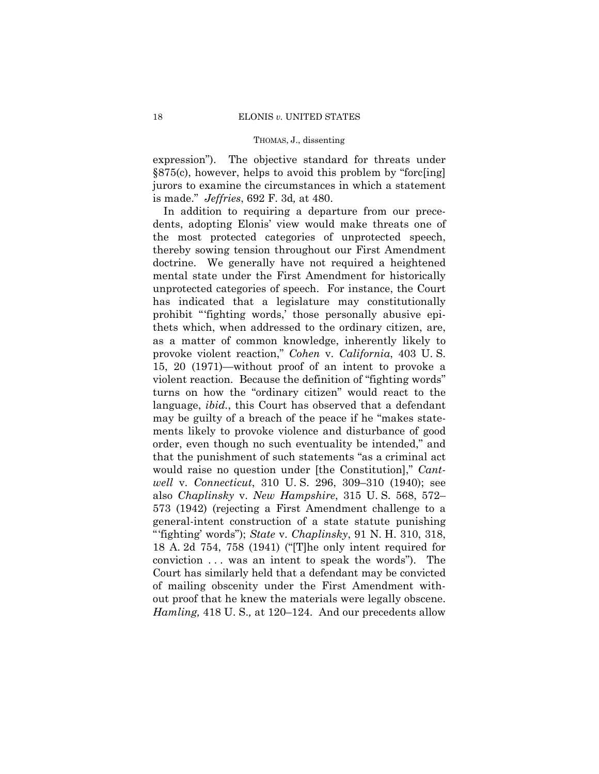expression"). The objective standard for threats under §875(c), however, helps to avoid this problem by "forc[ing] jurors to examine the circumstances in which a statement is made." *Jeffries*, 692 F. 3d*,* at 480.

In addition to requiring a departure from our precedents, adopting Elonis' view would make threats one of the most protected categories of unprotected speech, thereby sowing tension throughout our First Amendment doctrine. We generally have not required a heightened mental state under the First Amendment for historically unprotected categories of speech. For instance, the Court has indicated that a legislature may constitutionally prohibit "'fighting words,' those personally abusive epithets which, when addressed to the ordinary citizen, are, as a matter of common knowledge, inherently likely to provoke violent reaction," *Cohen* v. *California*, 403 U. S. 15, 20 (1971)—without proof of an intent to provoke a violent reaction. Because the definition of "fighting words" turns on how the "ordinary citizen" would react to the language, *ibid.*, this Court has observed that a defendant may be guilty of a breach of the peace if he "makes statements likely to provoke violence and disturbance of good order, even though no such eventuality be intended," and that the punishment of such statements "as a criminal act would raise no question under [the Constitution]," *Cantwell* v. *Connecticut*, 310 U. S. 296, 309–310 (1940); see also *Chaplinsky* v. *New Hampshire*, 315 U. S. 568, 572– 573 (1942) (rejecting a First Amendment challenge to a general-intent construction of a state statute punishing "'fighting' words"); *State* v. *Chaplinsky*, 91 N. H. 310, 318, 18 A. 2d 754, 758 (1941) ("[T]he only intent required for conviction . . . was an intent to speak the words"). The Court has similarly held that a defendant may be convicted of mailing obscenity under the First Amendment without proof that he knew the materials were legally obscene. *Hamling,* 418 U. S.*,* at 120–124. And our precedents allow